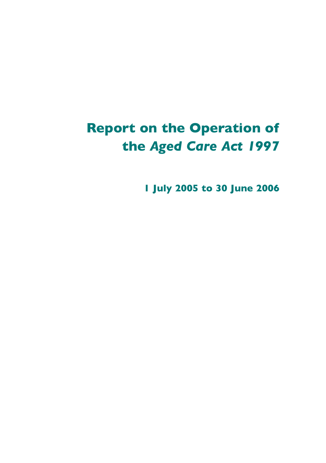# **Report on the Operation of the** *Aged Care Act 1997*

**1 July 2005 to 30 June 2006**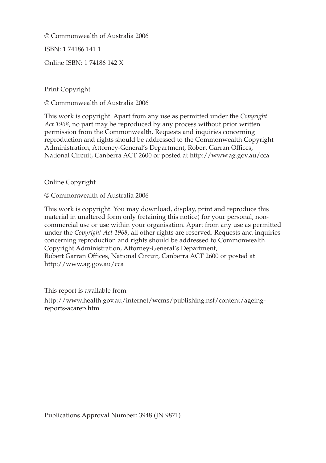© Commonwealth of Australia 2006

ISBN: 1 74186 141 1

Online ISBN: 1 74186 142 X

Print Copyright

© Commonwealth of Australia 2006

This work is copyright. Apart from any use as permitted under the *Copyright Act 1968*, no part may be reproduced by any process without prior written permission from the Commonwealth. Requests and inquiries concerning reproduction and rights should be addressed to the Commonwealth Copyright Administration, Attorney-General's Department, Robert Garran Offices, National Circuit, Canberra ACT 2600 or posted at http://www.ag.gov.au/cca

#### Online Copyright

© Commonwealth of Australia 2006

This work is copyright. You may download, display, print and reproduce this material in unaltered form only (retaining this notice) for your personal, noncommercial use or use within your organisation. Apart from any use as permitted under the *Copyright Act 1968*, all other rights are reserved. Requests and inquiries concerning reproduction and rights should be addressed to Commonwealth Copyright Administration, Attorney-General's Department, Robert Garran Offices, National Circuit, Canberra ACT 2600 or posted at http://www.ag.gov.au/cca

This report is available from http://www.health.gov.au/internet/wcms/publishing.nsf/content/ageingreports-acarep.htm

Publications Approval Number: 3948 (JN 9871)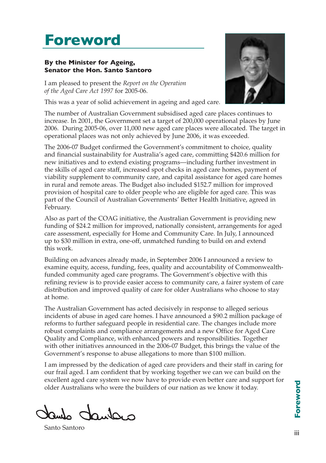# **Foreword**

#### **By the Minister for Ageing, Senator the Hon. Santo Santoro**

I am pleased to present the *Report on the Operation of the Aged Care Act 1997* for 2005-06.

This was a year of solid achievement in ageing and aged care.



The number of Australian Government subsidised aged care places continues to increase. In 2001, the Government set a target of 200,000 operational places by June 2006. During 2005-06, over 11,000 new aged care places were allocated. The target in operational places was not only achieved by June 2006, it was exceeded.

The 2006-07 Budget confirmed the Government's commitment to choice, quality and financial sustainability for Australia's aged care, committing \$420.6 million for new initiatives and to extend existing programs—including further investment in the skills of aged care staff, increased spot checks in aged care homes, payment of viability supplement to community care, and capital assistance for aged care homes in rural and remote areas. The Budget also included \$152.7 million for improved provision of hospital care to older people who are eligible for aged care. This was part of the Council of Australian Governments' Better Health Initiative, agreed in February.

Also as part of the COAG initiative, the Australian Government is providing new funding of \$24.2 million for improved, nationally consistent, arrangements for aged care assessment, especially for Home and Community Care. In July, I announced up to \$30 million in extra, one-off, unmatched funding to build on and extend this work.

Building on advances already made, in September 2006 I announced a review to examine equity, access, funding, fees, quality and accountability of Commonwealthfunded community aged care programs. The Government's objective with this refining review is to provide easier access to community care, a fairer system of care distribution and improved quality of care for older Australians who choose to stay at home.

The Australian Government has acted decisively in response to alleged serious incidents of abuse in aged care homes. I have announced a \$90.2 million package of reforms to further safeguard people in residential care. The changes include more robust complaints and compliance arrangements and a new Office for Aged Care Quality and Compliance, with enhanced powers and responsibilities. Together with other initiatives announced in the 2006-07 Budget, this brings the value of the Government's response to abuse allegations to more than \$100 million.

I am impressed by the dedication of aged care providers and their staff in caring for our frail aged. I am confident that by working together we can we can build on the excellent aged care system we now have to provide even better care and support for older Australians who were the builders of our nation as we know it today.

dantaro

Santo Santoro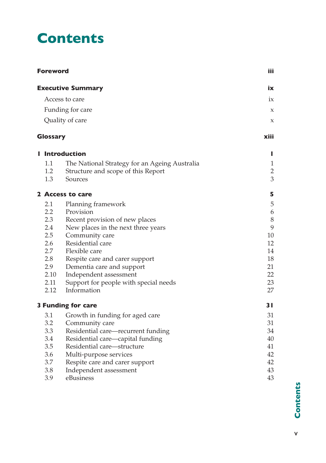# **Contents**

| <b>Foreword</b>  | iii                                           |                     |
|------------------|-----------------------------------------------|---------------------|
|                  | <b>Executive Summary</b>                      | iх                  |
|                  | Access to care                                | ix                  |
|                  | Funding for care                              | $\boldsymbol{\chi}$ |
|                  | Quality of care                               | X                   |
| <b>Glossary</b>  |                                               | xiii                |
|                  | l Introduction                                | L                   |
| 1.1              | The National Strategy for an Ageing Australia | 1                   |
| 1.2              | Structure and scope of this Report            | $\overline{2}$      |
| 1.3              | Sources                                       | 3                   |
|                  | 2 Access to care                              | 5                   |
| 2.1              | Planning framework                            | $\mathbf 5$         |
| $2.2\phantom{0}$ | Provision                                     | $\boldsymbol{6}$    |
| 2.3              | Recent provision of new places                | $\,8\,$             |
| 2.4              | New places in the next three years            | 9                   |
| 2.5              | Community care                                | 10                  |
| 2.6              | Residential care                              | 12                  |
| 2.7              | Flexible care                                 | 14                  |
| 2.8              | Respite care and carer support                | 18                  |
| 2.9              | Dementia care and support                     | 21                  |
| 2.10             | Independent assessment                        | 22                  |
| 2.11             | Support for people with special needs         | 23                  |
| 2.12             | Information                                   | 27                  |
|                  | <b>3 Funding for care</b>                     | 31                  |
| 3.1              | Growth in funding for aged care               | 31                  |
| 3.2              | Community care                                | 31                  |
| 3.3              | Residential care—recurrent funding            | 34                  |
| 3.4              | Residential care-capital funding              | 40                  |
| 3.5              | Residential care—structure                    | 41                  |
| 3.6              | Multi-purpose services                        | 42                  |
| 3.7              | Respite care and carer support                | 42                  |
| 3.8<br>3.9       | Independent assessment<br>eBusiness           | 43<br>43            |
|                  |                                               |                     |

**Contents Contents**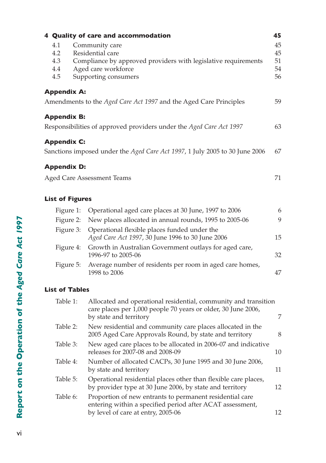|                                 | 4 Quality of care and accommodation                                                                                                                 | 45                         |
|---------------------------------|-----------------------------------------------------------------------------------------------------------------------------------------------------|----------------------------|
| 4.1<br>4.2<br>4.3<br>4.4<br>4.5 | Community care<br>Residential care<br>Compliance by approved providers with legislative requirements<br>Aged care workforce<br>Supporting consumers | 45<br>45<br>51<br>54<br>56 |
| <b>Appendix A:</b>              |                                                                                                                                                     |                            |
|                                 | Amendments to the Aged Care Act 1997 and the Aged Care Principles                                                                                   | 59                         |
| <b>Appendix B:</b>              |                                                                                                                                                     |                            |
|                                 | Responsibilities of approved providers under the Aged Care Act 1997                                                                                 | 63                         |
| <b>Appendix C:</b>              |                                                                                                                                                     |                            |
|                                 | Sanctions imposed under the Aged Care Act 1997, 1 July 2005 to 30 June 2006                                                                         | 67                         |
| <b>Appendix D:</b>              |                                                                                                                                                     |                            |
|                                 | <b>Aged Care Assessment Teams</b>                                                                                                                   | 71                         |
| <b>List of Figures</b>          |                                                                                                                                                     |                            |
| Figure 1:                       | Operational aged care places at 30 June, 1997 to 2006                                                                                               | 6                          |
| Figure 2:                       | New places allocated in annual rounds, 1995 to 2005-06                                                                                              | 9                          |
| Figure 3:                       | Operational flexible places funded under the<br>Aged Care Act 1997, 30 June 1996 to 30 June 2006                                                    | 15                         |
| Figure 4:                       | Growth in Australian Government outlays for aged care,<br>1996-97 to 2005-06                                                                        | 32                         |
| Figure 5:                       | Average number of residents per room in aged care homes,<br>1998 to 2006                                                                            | 47                         |
| <b>List of Tables</b>           |                                                                                                                                                     |                            |
|                                 |                                                                                                                                                     |                            |

| Table 1: | Allocated and operational residential, community and transition<br>care places per 1,000 people 70 years or older, 30 June 2006,<br>by state and territory  | 7  |
|----------|-------------------------------------------------------------------------------------------------------------------------------------------------------------|----|
| Table 2: | New residential and community care places allocated in the<br>2005 Aged Care Approvals Round, by state and territory                                        | 8  |
| Table 3: | New aged care places to be allocated in 2006-07 and indicative<br>releases for 2007-08 and 2008-09                                                          | 10 |
| Table 4: | Number of allocated CACPs, 30 June 1995 and 30 June 2006,<br>by state and territory                                                                         | 11 |
| Table 5: | Operational residential places other than flexible care places,<br>by provider type at 30 June 2006, by state and territory                                 | 12 |
| Table 6: | Proportion of new entrants to permanent residential care<br>entering within a specified period after ACAT assessment,<br>by level of care at entry, 2005-06 | 12 |
|          |                                                                                                                                                             |    |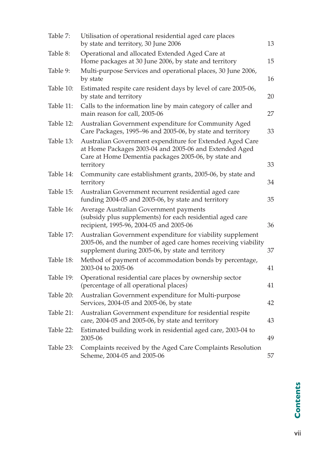| Table 7:  | Utilisation of operational residential aged care places<br>by state and territory, 30 June 2006                                                                                   | 13 |
|-----------|-----------------------------------------------------------------------------------------------------------------------------------------------------------------------------------|----|
| Table 8:  | Operational and allocated Extended Aged Care at<br>Home packages at 30 June 2006, by state and territory                                                                          | 15 |
| Table 9:  | Multi-purpose Services and operational places, 30 June 2006,<br>by state                                                                                                          | 16 |
| Table 10: | Estimated respite care resident days by level of care 2005-06,<br>by state and territory                                                                                          | 20 |
| Table 11: | Calls to the information line by main category of caller and<br>main reason for call, 2005-06                                                                                     | 27 |
| Table 12: | Australian Government expenditure for Community Aged<br>Care Packages, 1995-96 and 2005-06, by state and territory                                                                | 33 |
| Table 13: | Australian Government expenditure for Extended Aged Care<br>at Home Packages 2003-04 and 2005-06 and Extended Aged<br>Care at Home Dementia packages 2005-06, by state and        | 33 |
| Table 14: | territory<br>Community care establishment grants, 2005-06, by state and<br>territory                                                                                              | 34 |
| Table 15: | Australian Government recurrent residential aged care<br>funding 2004-05 and 2005-06, by state and territory                                                                      | 35 |
| Table 16: | Average Australian Government payments<br>(subsidy plus supplements) for each residential aged care<br>recipient, 1995-96, 2004-05 and 2005-06                                    | 36 |
| Table 17: | Australian Government expenditure for viability supplement<br>2005-06, and the number of aged care homes receiving viability<br>supplement during 2005-06, by state and territory | 37 |
| Table 18: | Method of payment of accommodation bonds by percentage,<br>2003-04 to 2005-06                                                                                                     | 41 |
| Table 19: | Operational residential care places by ownership sector<br>(percentage of all operational places)                                                                                 | 41 |
| Table 20: | Australian Government expenditure for Multi-purpose<br>Services, 2004-05 and 2005-06, by state                                                                                    | 42 |
| Table 21: | Australian Government expenditure for residential respite<br>care, 2004-05 and 2005-06, by state and territory                                                                    | 43 |
| Table 22: | Estimated building work in residential aged care, 2003-04 to<br>2005-06                                                                                                           | 49 |
| Table 23: | Complaints received by the Aged Care Complaints Resolution<br>Scheme, 2004-05 and 2005-06                                                                                         | 57 |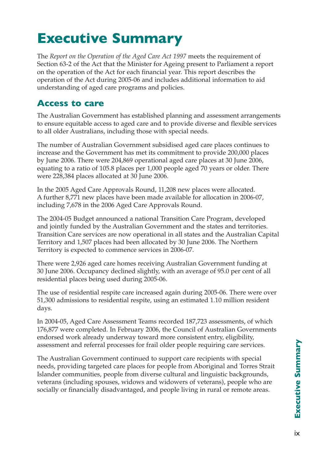# **Executive Summary**

The *Report on the Operation of the Aged Care Act 1997* meets the requirement of Section 63-2 of the Act that the Minister for Ageing present to Parliament a report on the operation of the Act for each financial year. This report describes the operation of the Act during 2005-06 and includes additional information to aid understanding of aged care programs and policies.

## **Access to care**

The Australian Government has established planning and assessment arrangements to ensure equitable access to aged care and to provide diverse and flexible services to all older Australians, including those with special needs.

The number of Australian Government subsidised aged care places continues to increase and the Government has met its commitment to provide 200,000 places by June 2006. There were 204,869 operational aged care places at 30 June 2006, equating to a ratio of 105.8 places per 1,000 people aged 70 years or older. There were 228,384 places allocated at 30 June 2006.

In the 2005 Aged Care Approvals Round, 11,208 new places were allocated. A further 8,771 new places have been made available for allocation in 2006-07, including 7,678 in the 2006 Aged Care Approvals Round.

The 2004-05 Budget announced a national Transition Care Program, developed and jointly funded by the Australian Government and the states and territories. Transition Care services are now operational in all states and the Australian Capital Territory and 1,507 places had been allocated by 30 June 2006. The Northern Territory is expected to commence services in 2006-07.

There were 2,926 aged care homes receiving Australian Government funding at 30 June 2006. Occupancy declined slightly, with an average of 95.0 per cent of all residential places being used during 2005-06.

The use of residential respite care increased again during 2005-06. There were over 51,300 admissions to residential respite, using an estimated 1.10 million resident days.

In 2004-05, Aged Care Assessment Teams recorded 187,723 assessments, of which 176,877 were completed. In February 2006, the Council of Australian Governments endorsed work already underway toward more consistent entry, eligibility, assessment and referral processes for frail older people requiring care services.

The Australian Government continued to support care recipients with special needs, providing targeted care places for people from Aboriginal and Torres Strait Islander communities, people from diverse cultural and linguistic backgrounds, veterans (including spouses, widows and widowers of veterans), people who are socially or financially disadvantaged, and people living in rural or remote areas.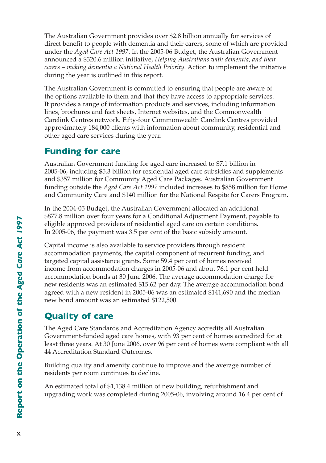The Australian Government provides over \$2.8 billion annually for services of direct benefit to people with dementia and their carers, some of which are provided under the *Aged Care Act 1997*. In the 2005-06 Budget, the Australian Government announced a \$320.6 million initiative, *Helping Australians with dementia, and their carers – making dementia a National Health Priority*. Action to implement the initiative during the year is outlined in this report.

The Australian Government is committed to ensuring that people are aware of the options available to them and that they have access to appropriate services. It provides a range of information products and services, including information lines, brochures and fact sheets, Internet websites, and the Commonwealth Carelink Centres network. Fifty-four Commonwealth Carelink Centres provided approximately 184,000 clients with information about community, residential and other aged care services during the year.

## **Funding for care**

Australian Government funding for aged care increased to \$7.1 billion in 2005-06, including \$5.3 billion for residential aged care subsidies and supplements and \$357 million for Community Aged Care Packages. Australian Government funding outside the *Aged Care Act 1997* included increases to \$858 million for Home and Community Care and \$140 million for the National Respite for Carers Program.

In the 2004-05 Budget, the Australian Government allocated an additional \$877.8 million over four years for a Conditional Adjustment Payment, payable to eligible approved providers of residential aged care on certain conditions. In 2005-06, the payment was 3.5 per cent of the basic subsidy amount.

Capital income is also available to service providers through resident accommodation payments, the capital component of recurrent funding, and targeted capital assistance grants. Some 59.4 per cent of homes received income from accommodation charges in 2005-06 and about 76.1 per cent held accommodation bonds at 30 June 2006. The average accommodation charge for new residents was an estimated \$15.62 per day. The average accommodation bond agreed with a new resident in 2005-06 was an estimated \$141,690 and the median new bond amount was an estimated \$122,500.

## **Quality of care**

The Aged Care Standards and Accreditation Agency accredits all Australian Government-funded aged care homes, with 93 per cent of homes accredited for at least three years. At 30 June 2006, over 96 per cent of homes were compliant with all 44 Accreditation Standard Outcomes.

Building quality and amenity continue to improve and the average number of residents per room continues to decline.

An estimated total of \$1,138.4 million of new building, refurbishment and upgrading work was completed during 2005-06, involving around 16.4 per cent of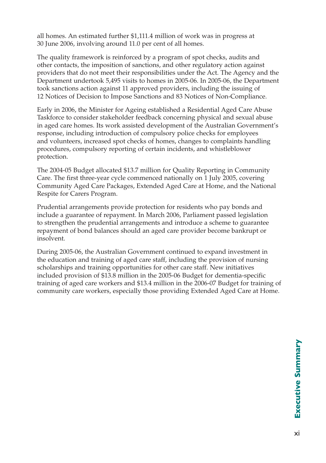all homes. An estimated further \$1,111.4 million of work was in progress at 30 June 2006, involving around 11.0 per cent of all homes.

The quality framework is reinforced by a program of spot checks, audits and other contacts, the imposition of sanctions, and other regulatory action against providers that do not meet their responsibilities under the Act. The Agency and the Department undertook 5,495 visits to homes in 2005-06. In 2005-06, the Department took sanctions action against 11 approved providers, including the issuing of 12 Notices of Decision to Impose Sanctions and 83 Notices of Non-Compliance.

Early in 2006, the Minister for Ageing established a Residential Aged Care Abuse Taskforce to consider stakeholder feedback concerning physical and sexual abuse in aged care homes. Its work assisted development of the Australian Government's response, including introduction of compulsory police checks for employees and volunteers, increased spot checks of homes, changes to complaints handling procedures, compulsory reporting of certain incidents, and whistleblower protection.

The 2004-05 Budget allocated \$13.7 million for Quality Reporting in Community Care. The first three-year cycle commenced nationally on 1 July 2005, covering Community Aged Care Packages, Extended Aged Care at Home, and the National Respite for Carers Program.

Prudential arrangements provide protection for residents who pay bonds and include a guarantee of repayment. In March 2006, Parliament passed legislation to strengthen the prudential arrangements and introduce a scheme to guarantee repayment of bond balances should an aged care provider become bankrupt or insolvent.

During 2005-06, the Australian Government continued to expand investment in the education and training of aged care staff, including the provision of nursing scholarships and training opportunities for other care staff. New initiatives included provision of \$13.8 million in the 2005-06 Budget for dementia-specific training of aged care workers and \$13.4 million in the 2006-07 Budget for training of community care workers, especially those providing Extended Aged Care at Home.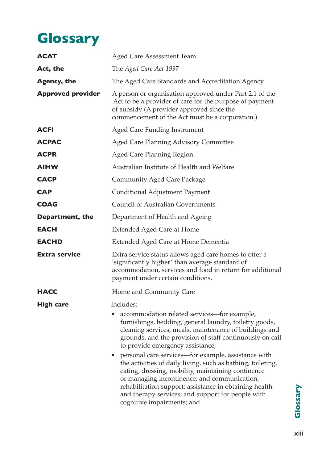# **Glossary**

| <b>ACAT</b>              | Aged Care Assessment Team                                                                                                                                                                                                                                                                                                                                             |  |  |  |  |
|--------------------------|-----------------------------------------------------------------------------------------------------------------------------------------------------------------------------------------------------------------------------------------------------------------------------------------------------------------------------------------------------------------------|--|--|--|--|
| Act, the                 | The Aged Care Act 1997                                                                                                                                                                                                                                                                                                                                                |  |  |  |  |
| <b>Agency, the</b>       | The Aged Care Standards and Accreditation Agency                                                                                                                                                                                                                                                                                                                      |  |  |  |  |
| <b>Approved provider</b> | A person or organisation approved under Part 2.1 of the<br>Act to be a provider of care for the purpose of payment<br>of subsidy (A provider approved since the<br>commencement of the Act must be a corporation.)                                                                                                                                                    |  |  |  |  |
| <b>ACFI</b>              | Aged Care Funding Instrument                                                                                                                                                                                                                                                                                                                                          |  |  |  |  |
| <b>ACPAC</b>             | Aged Care Planning Advisory Committee                                                                                                                                                                                                                                                                                                                                 |  |  |  |  |
| <b>ACPR</b>              | Aged Care Planning Region                                                                                                                                                                                                                                                                                                                                             |  |  |  |  |
| <b>AIHW</b>              | Australian Institute of Health and Welfare                                                                                                                                                                                                                                                                                                                            |  |  |  |  |
| <b>CACP</b>              | <b>Community Aged Care Package</b>                                                                                                                                                                                                                                                                                                                                    |  |  |  |  |
| <b>CAP</b>               | Conditional Adjustment Payment                                                                                                                                                                                                                                                                                                                                        |  |  |  |  |
| <b>COAG</b>              | Council of Australian Governments                                                                                                                                                                                                                                                                                                                                     |  |  |  |  |
| <b>Department, the</b>   | Department of Health and Ageing                                                                                                                                                                                                                                                                                                                                       |  |  |  |  |
| EACH                     | <b>Extended Aged Care at Home</b>                                                                                                                                                                                                                                                                                                                                     |  |  |  |  |
| <b>EACHD</b>             | Extended Aged Care at Home Dementia                                                                                                                                                                                                                                                                                                                                   |  |  |  |  |
| <b>Extra service</b>     | Extra service status allows aged care homes to offer a<br>'significantly higher' than average standard of<br>accommodation, services and food in return for additional<br>payment under certain conditions.                                                                                                                                                           |  |  |  |  |
| HACC                     | Home and Community Care                                                                                                                                                                                                                                                                                                                                               |  |  |  |  |
| <b>High care</b>         | Includes:                                                                                                                                                                                                                                                                                                                                                             |  |  |  |  |
|                          | accommodation related services-for example,<br>furnishings, bedding, general laundry, toiletry goods,<br>cleaning services, meals, maintenance of buildings and<br>grounds, and the provision of staff continuously on call<br>to provide emergency assistance;                                                                                                       |  |  |  |  |
|                          | personal care services—for example, assistance with<br>the activities of daily living, such as bathing, toileting,<br>eating, dressing, mobility, maintaining continence<br>or managing incontinence, and communication;<br>rehabilitation support; assistance in obtaining health<br>and therapy services; and support for people with<br>cognitive impairments; and |  |  |  |  |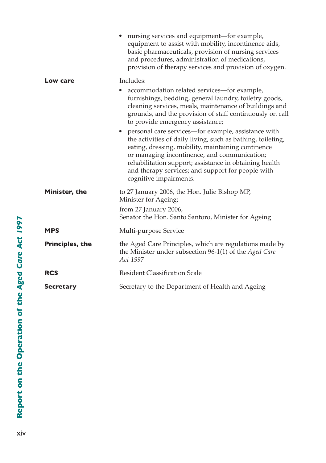|                        | nursing services and equipment—for example,<br>equipment to assist with mobility, incontinence aids,<br>basic pharmaceuticals, provision of nursing services<br>and procedures, administration of medications,<br>provision of therapy services and provision of oxygen.                                                                                            |
|------------------------|---------------------------------------------------------------------------------------------------------------------------------------------------------------------------------------------------------------------------------------------------------------------------------------------------------------------------------------------------------------------|
| Low care               | Includes:                                                                                                                                                                                                                                                                                                                                                           |
|                        | accommodation related services-for example,<br>furnishings, bedding, general laundry, toiletry goods,<br>cleaning services, meals, maintenance of buildings and<br>grounds, and the provision of staff continuously on call<br>to provide emergency assistance;                                                                                                     |
|                        | • personal care services—for example, assistance with<br>the activities of daily living, such as bathing, toileting,<br>eating, dressing, mobility, maintaining continence<br>or managing incontinence, and communication;<br>rehabilitation support; assistance in obtaining health<br>and therapy services; and support for people with<br>cognitive impairments. |
| Minister, the          | to 27 January 2006, the Hon. Julie Bishop MP,<br>Minister for Ageing;<br>from 27 January 2006,<br>Senator the Hon. Santo Santoro, Minister for Ageing                                                                                                                                                                                                               |
| <b>MPS</b>             | Multi-purpose Service                                                                                                                                                                                                                                                                                                                                               |
| <b>Principles, the</b> | the Aged Care Principles, which are regulations made by<br>the Minister under subsection 96-1(1) of the Aged Care<br>Act 1997                                                                                                                                                                                                                                       |
| <b>RCS</b>             | <b>Resident Classification Scale</b>                                                                                                                                                                                                                                                                                                                                |
| <b>Secretary</b>       | Secretary to the Department of Health and Ageing                                                                                                                                                                                                                                                                                                                    |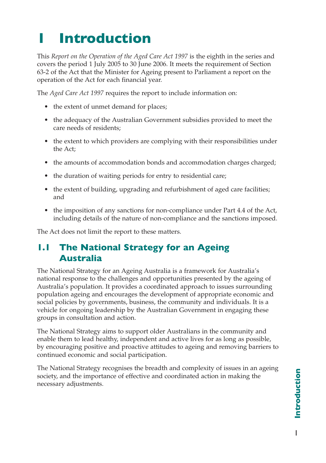# **1 Introduction**

This *Report on the Operation of the Aged Care Act 1997* is the eighth in the series and covers the period 1 July 2005 to 30 June 2006. It meets the requirement of Section 63-2 of the Act that the Minister for Ageing present to Parliament a report on the operation of the Act for each financial year.

The *Aged Care Act 1997* requires the report to include information on:

- the extent of unmet demand for places;
- the adequacy of the Australian Government subsidies provided to meet the care needs of residents;
- the extent to which providers are complying with their responsibilities under the Act;
- the amounts of accommodation bonds and accommodation charges charged;
- the duration of waiting periods for entry to residential care;
- the extent of building, upgrading and refurbishment of aged care facilities; and
- the imposition of any sanctions for non-compliance under Part 4.4 of the Act, including details of the nature of non-compliance and the sanctions imposed.

The Act does not limit the report to these matters.

## **1.1 The National Strategy for an Ageing Australia**

The National Strategy for an Ageing Australia is a framework for Australia's national response to the challenges and opportunities presented by the ageing of Australia's population. It provides a coordinated approach to issues surrounding population ageing and encourages the development of appropriate economic and social policies by governments, business, the community and individuals. It is a vehicle for ongoing leadership by the Australian Government in engaging these groups in consultation and action.

The National Strategy aims to support older Australians in the community and enable them to lead healthy, independent and active lives for as long as possible, by encouraging positive and proactive attitudes to ageing and removing barriers to continued economic and social participation.

The National Strategy recognises the breadth and complexity of issues in an ageing society, and the importance of effective and coordinated action in making the necessary adjustments.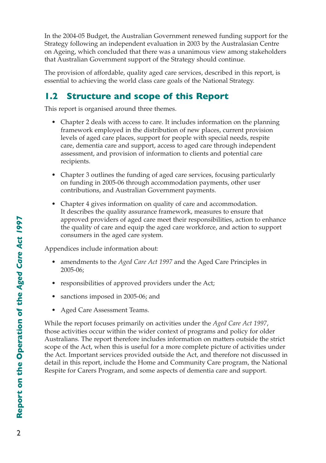In the 2004-05 Budget, the Australian Government renewed funding support for the Strategy following an independent evaluation in 2003 by the Australasian Centre on Ageing, which concluded that there was a unanimous view among stakeholders that Australian Government support of the Strategy should continue.

The provision of affordable, quality aged care services, described in this report, is essential to achieving the world class care goals of the National Strategy.

# **1.2 Structure and scope of this Report**

This report is organised around three themes.

- Chapter 2 deals with access to care. It includes information on the planning framework employed in the distribution of new places, current provision levels of aged care places, support for people with special needs, respite care, dementia care and support, access to aged care through independent assessment, and provision of information to clients and potential care recipients.
- Chapter 3 outlines the funding of aged care services, focusing particularly on funding in 2005-06 through accommodation payments, other user contributions, and Australian Government payments.
- Chapter 4 gives information on quality of care and accommodation. It describes the quality assurance framework, measures to ensure that approved providers of aged care meet their responsibilities, action to enhance the quality of care and equip the aged care workforce, and action to support consumers in the aged care system.

Appendices include information about:

- amendments to the *Aged Care Act 1997* and the Aged Care Principles in 2005-06;
- responsibilities of approved providers under the Act;
- sanctions imposed in 2005-06; and
- Aged Care Assessment Teams.

While the report focuses primarily on activities under the *Aged Care Act 1997*, those activities occur within the wider context of programs and policy for older Australians. The report therefore includes information on matters outside the strict scope of the Act, when this is useful for a more complete picture of activities under the Act. Important services provided outside the Act, and therefore not discussed in detail in this report, include the Home and Community Care program, the National Respite for Carers Program, and some aspects of dementia care and support.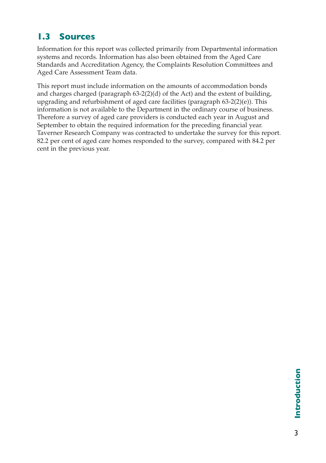## **1.3 Sources**

Information for this report was collected primarily from Departmental information systems and records. Information has also been obtained from the Aged Care Standards and Accreditation Agency, the Complaints Resolution Committees and Aged Care Assessment Team data.

This report must include information on the amounts of accommodation bonds and charges charged (paragraph 63-2(2)(d) of the Act) and the extent of building, upgrading and refurbishment of aged care facilities (paragraph 63-2(2)(e)). This information is not available to the Department in the ordinary course of business. Therefore a survey of aged care providers is conducted each year in August and September to obtain the required information for the preceding financial year. Taverner Research Company was contracted to undertake the survey for this report. 82.2 per cent of aged care homes responded to the survey, compared with 84.2 per cent in the previous year.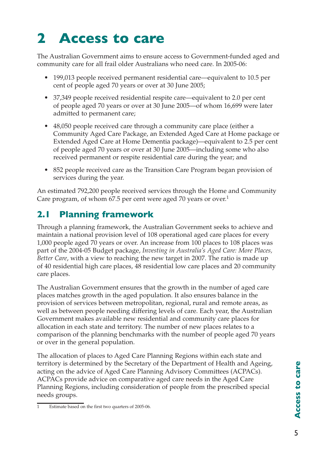# **2 Access to care**

The Australian Government aims to ensure access to Government-funded aged and community care for all frail older Australians who need care. In 2005-06:

- 199,013 people received permanent residential care—equivalent to 10.5 per cent of people aged 70 years or over at 30 June 2005;
- 37,349 people received residential respite care—equivalent to 2.0 per cent of people aged 70 years or over at 30 June 2005—of whom 16,699 were later admitted to permanent care;
- 48,050 people received care through a community care place (either a Community Aged Care Package, an Extended Aged Care at Home package or Extended Aged Care at Home Dementia package)—equivalent to 2.5 per cent of people aged 70 years or over at 30 June 2005—including some who also received permanent or respite residential care during the year; and
- 852 people received care as the Transition Care Program began provision of services during the year.

An estimated 792,200 people received services through the Home and Community Care program, of whom 67.5 per cent were aged 70 years or over.<sup>1</sup>

# **2.1 Planning framework**

Through a planning framework, the Australian Government seeks to achieve and maintain a national provision level of 108 operational aged care places for every 1,000 people aged 70 years or over. An increase from 100 places to 108 places was part of the 2004-05 Budget package, *Investing in Australia's Aged Care: More Places, Better Care*, with a view to reaching the new target in 2007. The ratio is made up of 40 residential high care places, 48 residential low care places and 20 community care places.

The Australian Government ensures that the growth in the number of aged care places matches growth in the aged population. It also ensures balance in the provision of services between metropolitan, regional, rural and remote areas, as well as between people needing differing levels of care. Each year, the Australian Government makes available new residential and community care places for allocation in each state and territory. The number of new places relates to a comparison of the planning benchmarks with the number of people aged 70 years or over in the general population.

The allocation of places to Aged Care Planning Regions within each state and territory is determined by the Secretary of the Department of Health and Ageing, acting on the advice of Aged Care Planning Advisory Committees (ACPACs). ACPACs provide advice on comparative aged care needs in the Aged Care Planning Regions, including consideration of people from the prescribed special needs groups.

Estimate based on the first two quarters of 2005-06.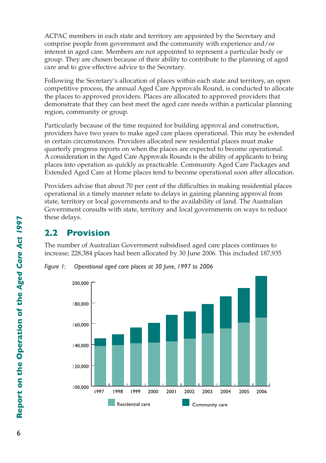ACPAC members in each state and territory are appointed by the Secretary and comprise people from government and the community with experience and/or interest in aged care. Members are not appointed to represent a particular body or group. They are chosen because of their ability to contribute to the planning of aged care and to give effective advice to the Secretary.

Following the Secretary's allocation of places within each state and territory, an open competitive process, the annual Aged Care Approvals Round, is conducted to allocate the places to approved providers. Places are allocated to approved providers that demonstrate that they can best meet the aged care needs within a particular planning region, community or group.

Particularly because of the time required for building approval and construction, providers have two years to make aged care places operational. This may be extended in certain circumstances. Providers allocated new residential places must make quarterly progress reports on when the places are expected to become operational. A consideration in the Aged Care Approvals Rounds is the ability of applicants to bring places into operation as quickly as practicable. Community Aged Care Packages and Extended Aged Care at Home places tend to become operational soon after allocation.

Providers advise that about 70 per cent of the difficulties in making residential places operational in a timely manner relate to delays in gaining planning approval from state, territory or local governments and to the availability of land. The Australian Government consults with state, territory and local governments on ways to reduce these delays.

## **2.2 Provision**

The number of Australian Government subsidised aged care places continues to increase; 228,384 places had been allocated by 30 June 2006. This included 187,935



*Figure 1: Operational aged care places at 30 June, 1997 to 2006*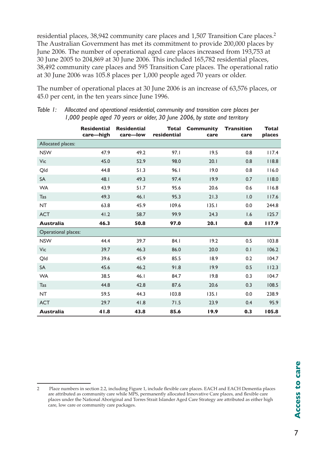residential places, 38,942 community care places and 1,507 Transition Care places.2 The Australian Government has met its commitment to provide 200,000 places by June 2006. The number of operational aged care places increased from 193,753 at 30 June 2005 to 204,869 at 30 June 2006. This included 165,782 residential places, 38,492 community care places and 595 Transition Care places. The operational ratio at 30 June 2006 was 105.8 places per 1,000 people aged 70 years or older.

The number of operational places at 30 June 2006 is an increase of 63,576 places, or 45.0 per cent, in the ten years since June 1996.

|                     | <b>Residential</b><br>care-high | <b>Residential</b><br>care-low | Total<br>residential | Community<br>care | <b>Transition</b><br>care | <b>Total</b><br>places |
|---------------------|---------------------------------|--------------------------------|----------------------|-------------------|---------------------------|------------------------|
| Allocated places:   |                                 |                                |                      |                   |                           |                        |
| <b>NSW</b>          | 47.9                            | 49.2                           | 97.1                 | 19.5              | 0.8                       | 117.4                  |
| Vic                 | 45.0                            | 52.9                           | 98.0                 | 20.1              | 0.8                       | 118.8                  |
| Qld                 | 44.8                            | 51.3                           | 96.1                 | 19.0              | 0.8                       | 116.0                  |
| <b>SA</b>           | 48.1                            | 49.3                           | 97.4                 | 19.9              | 0.7                       | 118.0                  |
| <b>WA</b>           | 43.9                            | 51.7                           | 95.6                 | 20.6              | 0.6                       | 116.8                  |
| Tas                 | 49.3                            | 46.1                           | 95.3                 | 21.3              | 1.0                       | 117.6                  |
| <b>NT</b>           | 63.8                            | 45.9                           | 109.6                | 135.1             | 0.0                       | 244.8                  |
| <b>ACT</b>          | 41.2                            | 58.7                           | 99.9                 | 24.3              | 1.6                       | 125.7                  |
| <b>Australia</b>    | 46.3                            | 50.8                           | 97.0                 | 20.1              | 0.8                       | 117.9                  |
| Operational places: |                                 |                                |                      |                   |                           |                        |
| <b>NSW</b>          | 44.4                            | 39.7                           | 84.1                 | 19.2              | 0.5                       | 103.8                  |
| Vic                 | 39.7                            | 46.3                           | 86.0                 | 20.0              | 0.1                       | 106.2                  |
| Qld                 | 39.6                            | 45.9                           | 85.5                 | 18.9              | 0.2                       | 104.7                  |
| <b>SA</b>           | 45.6                            | 46.2                           | 91.8                 | 19.9              | 0.5                       | 112.3                  |
| <b>WA</b>           | 38.5                            | 46.1                           | 84.7                 | 19.8              | 0.3                       | 104.7                  |
| <b>Tas</b>          | 44.8                            | 42.8                           | 87.6                 | 20.6              | 0.3                       | 108.5                  |
| NT                  | 59.5                            | 44.3                           | 103.8                | 135.1             | 0.0                       | 238.9                  |
| <b>ACT</b>          | 29.7                            | 41.8                           | 71.5                 | 23.9              | 0.4                       | 95.9                   |
| <b>Australia</b>    | 41.8                            | 43.8                           | 85.6                 | 19.9              | 0.3                       | 105.8                  |

*Table 1: Allocated and operational residential, community and transition care places per 1,000 people aged 70 years or older, 30 June 2006, by state and territory*

<sup>2</sup> Place numbers in section 2.2, including Figure 1, include flexible care places. EACH and EACH Dementia places are attributed as community care while MPS, permanently allocated Innovative Care places, and flexible care places under the National Aboriginal and Torres Strait Islander Aged Care Strategy are attributed as either high care, low care or community care packages.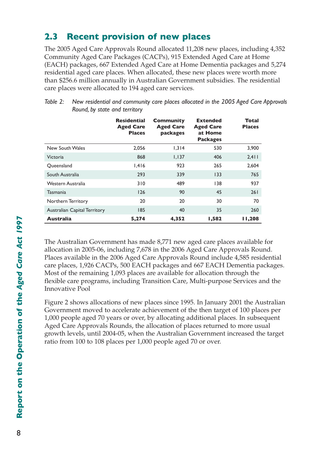## **2.3 Recent provision of new places**

The 2005 Aged Care Approvals Round allocated 11,208 new places, including 4,352 Community Aged Care Packages (CACPs), 915 Extended Aged Care at Home (EACH) packages, 667 Extended Aged Care at Home Dementia packages and 5,274 residential aged care places. When allocated, these new places were worth more than \$256.6 million annually in Australian Government subsidies. The residential care places were allocated to 194 aged care services.

|                                     | <b>Residential</b><br><b>Aged Care</b><br><b>Places</b> | Community<br><b>Aged Care</b><br>packages | <b>Extended</b><br><b>Aged Care</b><br>at Home<br><b>Packages</b> | Total<br><b>Places</b> |
|-------------------------------------|---------------------------------------------------------|-------------------------------------------|-------------------------------------------------------------------|------------------------|
| New South Wales                     | 2.056                                                   | 1,314                                     | 530                                                               | 3,900                  |
| Victoria                            | 868                                                     | 1,137                                     | 406                                                               | 2,411                  |
| Oueensland                          | 1.416                                                   | 923                                       | 265                                                               | 2.604                  |
| South Australia                     | 293                                                     | 339                                       | 133                                                               | 765                    |
| Western Australia                   | 310                                                     | 489                                       | 138                                                               | 937                    |
| <b>Tasmania</b>                     | 126                                                     | 90                                        | 45                                                                | 261                    |
| Northern Territory                  | 20                                                      | 20                                        | 30                                                                | 70                     |
| <b>Australian Capital Territory</b> | 185                                                     | 40                                        | 35                                                                | 260                    |
| <b>Australia</b>                    | 5,274                                                   | 4,352                                     | 1,582                                                             | 11,208                 |

| Table 2: New residential and community care places allocated in the 2005 Aged Care Approvals |
|----------------------------------------------------------------------------------------------|
| Round, by state and territory                                                                |

The Australian Government has made 8,771 new aged care places available for allocation in 2005-06, including 7,678 in the 2006 Aged Care Approvals Round. Places available in the 2006 Aged Care Approvals Round include 4,585 residential care places, 1,926 CACPs, 500 EACH packages and 667 EACH Dementia packages. Most of the remaining 1,093 places are available for allocation through the flexible care programs, including Transition Care, Multi-purpose Services and the Innovative Pool

Figure 2 shows allocations of new places since 1995. In January 2001 the Australian Government moved to accelerate achievement of the then target of 100 places per 1,000 people aged 70 years or over, by allocating additional places. In subsequent Aged Care Approvals Rounds, the allocation of places returned to more usual growth levels, until 2004-05, when the Australian Government increased the target ratio from 100 to 108 places per 1,000 people aged 70 or over.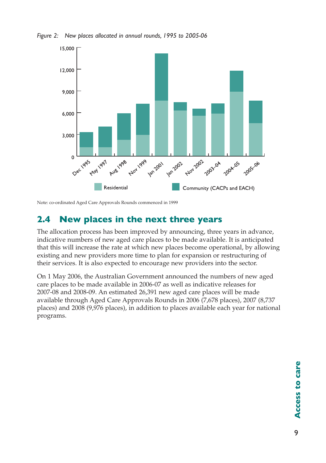



Note: co-ordinated Aged Care Approvals Rounds commenced in 1999

## **2.4 New places in the next three years**

The allocation process has been improved by announcing, three years in advance, indicative numbers of new aged care places to be made available. It is anticipated that this will increase the rate at which new places become operational, by allowing existing and new providers more time to plan for expansion or restructuring of their services. It is also expected to encourage new providers into the sector.

On 1 May 2006, the Australian Government announced the numbers of new aged care places to be made available in 2006-07 as well as indicative releases for 2007-08 and 2008-09. An estimated 26,391 new aged care places will be made available through Aged Care Approvals Rounds in 2006 (7,678 places), 2007 (8,737 places) and 2008 (9,976 places), in addition to places available each year for national programs.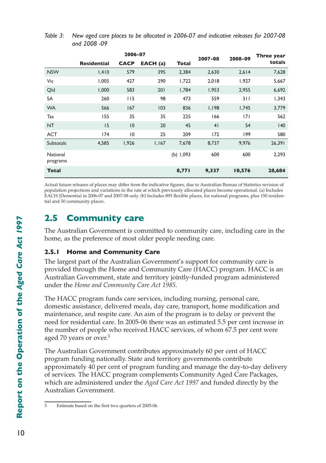| Table 3: New aged care places to be allocated in 2006-07 and indicative releases for 2007-08 |
|----------------------------------------------------------------------------------------------|
| and 2008 -09                                                                                 |

|                             | 2006-07            |                | 2007-08 | 2008-09     | Three year |        |        |
|-----------------------------|--------------------|----------------|---------|-------------|------------|--------|--------|
|                             | <b>Residential</b> | <b>CACP</b>    | EACH(a) | Total       |            |        | totals |
| <b>NSW</b>                  | 1,410              | 579            | 395     | 2,384       | 2,630      | 2,614  | 7,628  |
| Vic                         | 1.005              | 427            | 290     | 1.722       | 2.018      | 1,927  | 5,667  |
| Qld                         | 1,000              | 583            | 201     | 1,784       | 1,953      | 2,955  | 6,692  |
| SA                          | 260                | 115            | 98      | 473         | 559        | 311    | 1,343  |
| <b>WA</b>                   | 566                | 167            | 103     | 836         | 1,198      | 1,745  | 3,779  |
| Tas                         | 155                | 35             | 35      | 225         | 166        | 7      | 562    |
| <b>NT</b>                   | 15                 | 10             | 20      | 45          | 41         | 54     | 140    |
| <b>ACT</b>                  | 174                | $\overline{0}$ | 25      | 209         | 172        | 199    | 580    |
| <b>Subtotals</b>            | 4,585              | 1,926          | 1,167   | 7,678       | 8,737      | 9,976  | 26,391 |
| <b>National</b><br>programs |                    |                |         | (b) $1,093$ | 600        | 600    | 2,293  |
| <b>Total</b>                |                    |                |         | 8,771       | 9,337      | 10,576 | 28,684 |

Actual future releases of places may differ from the indicative figures, due to Australian Bureau of Statistics revision of population projections and variations in the rate at which previously allocated places become operational. (a) Includes EACH (Dementia) in 2006-07 and 2007-08 only. (b) Includes 893 flexible places, for national programs, plus 150 residential and 50 community places.

## **2.5 Community care**

The Australian Government is committed to community care, including care in the home, as the preference of most older people needing care.

#### **2.5.1 Home and Community Care**

The largest part of the Australian Government's support for community care is provided through the Home and Community Care (HACC) program. HACC is an Australian Government, state and territory jointly-funded program administered under the *Home and Community Care Act 1985*.

The HACC program funds care services, including nursing, personal care, domestic assistance, delivered meals, day care, transport, home modification and maintenance, and respite care. An aim of the program is to delay or prevent the need for residential care. In 2005-06 there was an estimated 5.5 per cent increase in the number of people who received HACC services, of whom 67.5 per cent were aged 70 years or over.<sup>3</sup>

The Australian Government contributes approximately 60 per cent of HACC program funding nationally. State and territory governments contribute approximately 40 per cent of program funding and manage the day-to-day delivery of services. The HACC program complements Community Aged Care Packages, which are administered under the *Aged Care Act 1997* and funded directly by the Australian Government.

<sup>3</sup> Estimate based on the first two quarters of 2005-06.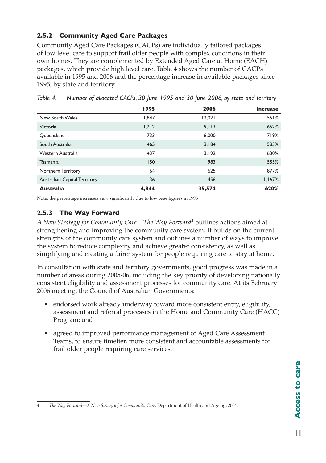### **2.5.2 Community Aged Care Packages**

Community Aged Care Packages (CACPs) are individually tailored packages of low level care to support frail older people with complex conditions in their own homes. They are complemented by Extended Aged Care at Home (EACH) packages, which provide high level care. Table 4 shows the number of CACPs available in 1995 and 2006 and the percentage increase in available packages since 1995, by state and territory.

|                                     | 1995  | 2006   | <b>Increase</b> |
|-------------------------------------|-------|--------|-----------------|
| New South Wales                     | 1.847 | 12,021 | 551%            |
| Victoria                            | 1,212 | 9,113  | 652%            |
| Oueensland                          | 733   | 6.000  | 719%            |
| South Australia                     | 465   | 3.184  | 585%            |
| Western Australia                   | 437   | 3.192  | 630%            |
| <b>Tasmania</b>                     | 150   | 983    | 555%            |
| Northern Territory                  | 64    | 625    | 877%            |
| <b>Australian Capital Territory</b> | 36    | 456    | 1,167%          |
| <b>Australia</b>                    | 4,944 | 35,574 | 620%            |

*Table 4: Number of allocated CACPs, 30 June 1995 and 30 June 2006, by state and territory*

Note: the percentage increases vary significantly due to low base figures in 1995

### **2.5.3 The Way Forward**

*A New Strategy for Community Care—The Way Forward*4 outlines actions aimed at strengthening and improving the community care system. It builds on the current strengths of the community care system and outlines a number of ways to improve the system to reduce complexity and achieve greater consistency, as well as simplifying and creating a fairer system for people requiring care to stay at home.

In consultation with state and territory governments, good progress was made in a number of areas during 2005-06, including the key priority of developing nationally consistent eligibility and assessment processes for community care. At its February 2006 meeting, the Council of Australian Governments:

- endorsed work already underway toward more consistent entry, eligibility, assessment and referral processes in the Home and Community Care (HACC) Program; and
- agreed to improved performance management of Aged Care Assessment Teams, to ensure timelier, more consistent and accountable assessments for frail older people requiring care services.

<sup>4</sup> *The Way Forward—A New Strategy for Community Care*. Department of Health and Ageing, 2004.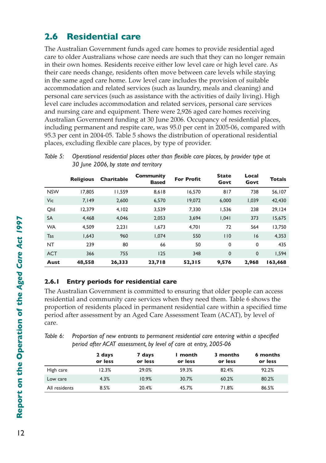## **2.6 Residential care**

The Australian Government funds aged care homes to provide residential aged care to older Australians whose care needs are such that they can no longer remain in their own homes. Residents receive either low level care or high level care. As their care needs change, residents often move between care levels while staying in the same aged care home. Low level care includes the provision of suitable accommodation and related services (such as laundry, meals and cleaning) and personal care services (such as assistance with the activities of daily living). High level care includes accommodation and related services, personal care services and nursing care and equipment. There were 2,926 aged care homes receiving Australian Government funding at 30 June 2006. Occupancy of residential places, including permanent and respite care, was 95.0 per cent in 2005-06, compared with 95.3 per cent in 2004-05. Table 5 shows the distribution of operational residential places, excluding flexible care places, by type of provider.

|            | <b>Religious</b> | <b>Charitable</b> | Community<br><b>Based</b> | <b>For Profit</b> | <b>State</b><br>Govt | Local<br>Govt | <b>Totals</b> |
|------------|------------------|-------------------|---------------------------|-------------------|----------------------|---------------|---------------|
| <b>NSW</b> | 17.805           | 11.559            | 8.618                     | 16,570            | 817                  | 738           | 56,107        |
| Vic        | 7.149            | 2,600             | 6,570                     | 19,072            | 6.000                | 1.039         | 42,430        |
| Old        | 12.379           | 4,102             | 3,539                     | 7,330             | 1.536                | 238           | 29.124        |
| <b>SA</b>  | 4.468            | 4.046             | 2.053                     | 3,694             | 1.041                | 373           | 15,675        |
| <b>WA</b>  | 4.509            | 2.231             | 1.673                     | 4.701             | 72                   | 564           | 13,750        |
| Tas        | 1,643            | 960               | 1.074                     | 550               | 110                  | 16            | 4,353         |
| <b>NT</b>  | 239              | 80                | 66                        | 50                | 0                    | 0             | 435           |
| <b>ACT</b> | 366              | 755               | 125                       | 348               | $\mathbf 0$          | $\mathbf{0}$  | 1.594         |
| Aust       | 48,558           | 26,333            | 23,718                    | 52,315            | 9,576                | 2.968         | 163,468       |

*Table 5: Operational residential places other than flexible care places, by provider type at 30 June 2006, by state and territory*

#### **2.6.1 Entry periods for residential care**

The Australian Government is committed to ensuring that older people can access residential and community care services when they need them. Table 6 shows the proportion of residents placed in permanent residential care within a specified time period after assessment by an Aged Care Assessment Team (ACAT), by level of care.

*Table 6: Proportion of new entrants to permanent residential care entering within a specified period after ACAT assessment, by level of care at entry, 2005-06*

|               | 2 days<br>or less | 7 days<br>or less | l month<br>or less | 3 months<br>or less | 6 months<br>or less |
|---------------|-------------------|-------------------|--------------------|---------------------|---------------------|
| High care     | 12.3%             | 29.0%             | 59.3%              | 82.4%               | 92.2%               |
| Low care      | 4.3%              | 10.9%             | 30.7%              | 60.2%               | 80.2%               |
| All residents | 8.5%              | 20.4%             | 45.7%              | 71.8%               | 86.5%               |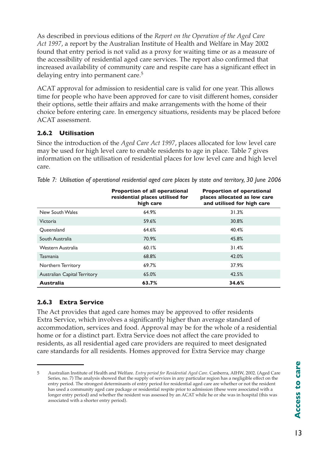As described in previous editions of the *Report on the Operation of the Aged Care Act 1997*, a report by the Australian Institute of Health and Welfare in May 2002 found that entry period is not valid as a proxy for waiting time or as a measure of the accessibility of residential aged care services. The report also confirmed that increased availability of community care and respite care has a significant effect in delaying entry into permanent care.5

ACAT approval for admission to residential care is valid for one year. This allows time for people who have been approved for care to visit different homes, consider their options, settle their affairs and make arrangements with the home of their choice before entering care. In emergency situations, residents may be placed before ACAT assessment.

#### **2.6.2 Utilisation**

Since the introduction of the *Aged Care Act 1997*, places allocated for low level care may be used for high level care to enable residents to age in place. Table 7 gives information on the utilisation of residential places for low level care and high level care.

|                                     | <b>Proportion of all operational</b><br>residential places utilised for<br>high care | <b>Proportion of operational</b><br>places allocated as low care<br>and utilised for high care |
|-------------------------------------|--------------------------------------------------------------------------------------|------------------------------------------------------------------------------------------------|
| New South Wales                     | 64.9%                                                                                | 31.3%                                                                                          |
| Victoria                            | 59.6%                                                                                | 30.8%                                                                                          |
| Oueensland                          | 64.6%                                                                                | 40.4%                                                                                          |
| South Australia                     | 70.9%                                                                                | 45.8%                                                                                          |
| Western Australia                   | 60.1%                                                                                | 31.4%                                                                                          |
| <b>Tasmania</b>                     | 68.8%                                                                                | 42.0%                                                                                          |
| Northern Territory                  | 69.7%                                                                                | 37.9%                                                                                          |
| <b>Australian Capital Territory</b> | 65.0%                                                                                | 42.5%                                                                                          |
| <b>Australia</b>                    | 63.7%                                                                                | 34.6%                                                                                          |

*Table 7: Utilisation of operational residential aged care places by state and territory, 30 June 2006*

### **2.6.3 Extra Service**

The Act provides that aged care homes may be approved to offer residents Extra Service, which involves a significantly higher than average standard of accommodation, services and food. Approval may be for the whole of a residential home or for a distinct part. Extra Service does not affect the care provided to residents, as all residential aged care providers are required to meet designated care standards for all residents. Homes approved for Extra Service may charge

<sup>5</sup> Australian Institute of Health and Welfare. *Entry period for Residential Aged Care*. Canberra, AIHW, 2002. (Aged Care Series, no. 7) The analysis showed that the supply of services in any particular region has a negligible effect on the entry period. The strongest determinants of entry period for residential aged care are whether or not the resident has used a community aged care package or residential respite prior to admission (these were associated with a longer entry period) and whether the resident was assessed by an ACAT while he or she was in hospital (this was associated with a shorter entry period).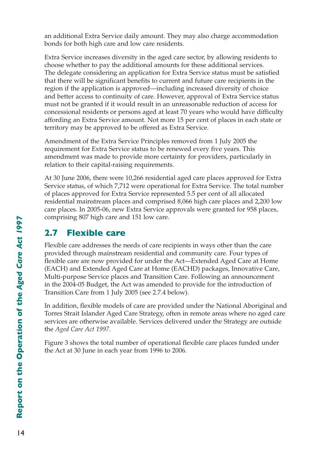an additional Extra Service daily amount. They may also charge accommodation bonds for both high care and low care residents.

Extra Service increases diversity in the aged care sector, by allowing residents to choose whether to pay the additional amounts for these additional services. The delegate considering an application for Extra Service status must be satisfied that there will be significant benefits to current and future care recipients in the region if the application is approved—including increased diversity of choice and better access to continuity of care. However, approval of Extra Service status must not be granted if it would result in an unreasonable reduction of access for concessional residents or persons aged at least 70 years who would have difficulty affording an Extra Service amount. Not more 15 per cent of places in each state or territory may be approved to be offered as Extra Service.

Amendment of the Extra Service Principles removed from 1 July 2005 the requirement for Extra Service status to be renewed every five years. This amendment was made to provide more certainty for providers, particularly in relation to their capital-raising requirements.

At 30 June 2006, there were 10,266 residential aged care places approved for Extra Service status, of which 7,712 were operational for Extra Service. The total number of places approved for Extra Service represented 5.5 per cent of all allocated residential mainstream places and comprised 8,066 high care places and 2,200 low care places. In 2005-06, new Extra Service approvals were granted for 958 places, comprising 807 high care and 151 low care.

## **2.7 Flexible care**

Flexible care addresses the needs of care recipients in ways other than the care provided through mainstream residential and community care. Four types of flexible care are now provided for under the Act—Extended Aged Care at Home (EACH) and Extended Aged Care at Home (EACHD) packages, Innovative Care, Multi-purpose Service places and Transition Care. Following an announcement in the 2004-05 Budget, the Act was amended to provide for the introduction of Transition Care from 1 July 2005 (see 2.7.4 below).

In addition, flexible models of care are provided under the National Aboriginal and Torres Strait Islander Aged Care Strategy, often in remote areas where no aged care services are otherwise available. Services delivered under the Strategy are outside the *Aged Care Act 1997*.

Figure 3 shows the total number of operational flexible care places funded under the Act at 30 June in each year from 1996 to 2006.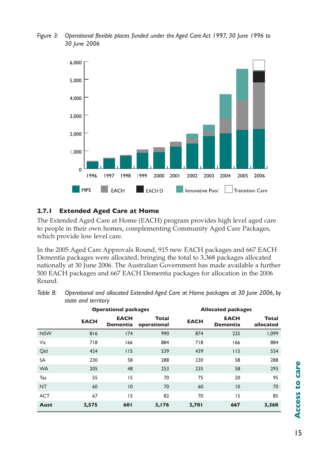*Figure 3: Operational flexible places funded under the Aged Care Act 1997, 30 June 1996 to 30 June 2006*



#### **2.7.1 Extended Aged Care at Home**

The Extended Aged Care at Home (EACH) program provides high level aged care to people in their own homes, complementing Community Aged Care Packages, which provide low level care.

In the 2005 Aged Care Approvals Round, 915 new EACH packages and 667 EACH Dementia packages were allocated, bringing the total to 3,368 packages allocated nationally at 30 June 2006. The Australian Government has made available a further 500 EACH packages and 667 EACH Dementia packages for allocation in the 2006 Round.

| Table 8: Operational and allocated Extended Aged Care at Home packages at 30 June 2006, by |
|--------------------------------------------------------------------------------------------|
| state and territory                                                                        |

|            |             | <b>Operational packages</b>    |                      | <b>Allocated packages</b> |                                |                           |  |
|------------|-------------|--------------------------------|----------------------|---------------------------|--------------------------------|---------------------------|--|
|            | <b>EACH</b> | <b>EACH</b><br><b>Dementia</b> | Total<br>operational | <b>EACH</b>               | <b>EACH</b><br><b>Dementia</b> | <b>Total</b><br>allocated |  |
| <b>NSW</b> | 816         | 174                            | 990                  | 874                       | 225                            | 1,099                     |  |
| Vic        | 718         | 166                            | 884                  | 718                       | 166                            | 884                       |  |
| Qld        | 424         | 115                            | 539                  | 439                       | 115                            | 554                       |  |
| <b>SA</b>  | 230         | 58                             | 288                  | 230                       | 58                             | 288                       |  |
| <b>WA</b>  | 205         | 48                             | 253                  | 235                       | 58                             | 293                       |  |
| Tas        | 55          | 15                             | 70                   | 75                        | 20                             | 95                        |  |
| <b>NT</b>  | 60          | 10                             | 70                   | 60                        | 10                             | 70                        |  |
| <b>ACT</b> | 67          | 15                             | 82                   | 70                        | 15                             | 85                        |  |
| Aust       | 2,575       | 601                            | 3,176                | 2,701                     | 667                            | 3,368                     |  |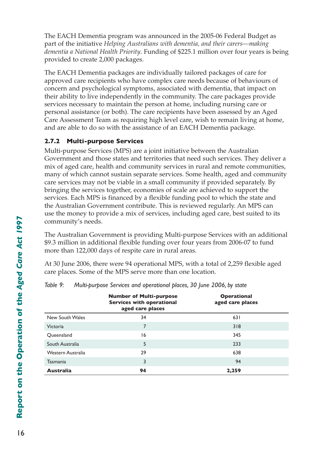The EACH Dementia program was announced in the 2005-06 Federal Budget as part of the initiative *Helping Australians with dementia, and their carers—making dementia a National Health Priority*. Funding of \$225.1 million over four years is being provided to create 2,000 packages.

The EACH Dementia packages are individually tailored packages of care for approved care recipients who have complex care needs because of behaviours of concern and psychological symptoms, associated with dementia, that impact on their ability to live independently in the community. The care packages provide services necessary to maintain the person at home, including nursing care or personal assistance (or both). The care recipients have been assessed by an Aged Care Assessment Team as requiring high level care, wish to remain living at home, and are able to do so with the assistance of an EACH Dementia package.

### **2.7.2 Multi-purpose Services**

Multi-purpose Services (MPS) are a joint initiative between the Australian Government and those states and territories that need such services. They deliver a mix of aged care, health and community services in rural and remote communities, many of which cannot sustain separate services. Some health, aged and community care services may not be viable in a small community if provided separately. By bringing the services together, economies of scale are achieved to support the services. Each MPS is financed by a flexible funding pool to which the state and the Australian Government contribute. This is reviewed regularly. An MPS can use the money to provide a mix of services, including aged care, best suited to its community's needs.

The Australian Government is providing Multi-purpose Services with an additional \$9.3 million in additional flexible funding over four years from 2006-07 to fund more than 122,000 days of respite care in rural areas.

At 30 June 2006, there were 94 operational MPS, with a total of 2,259 flexible aged care places. Some of the MPS serve more than one location.

|                   | <b>Number of Multi-purpose</b><br><b>Services with operational</b><br>aged care places | <b>Operational</b><br>aged care places |  |
|-------------------|----------------------------------------------------------------------------------------|----------------------------------------|--|
| New South Wales   | 34                                                                                     | 631                                    |  |
| Victoria          | 7                                                                                      | 318                                    |  |
| Queensland        | 16                                                                                     | 345                                    |  |
| South Australia   | 5                                                                                      | 233                                    |  |
| Western Australia | 29                                                                                     | 638                                    |  |
| <b>Tasmania</b>   | 3                                                                                      | 94                                     |  |
| <b>Australia</b>  | 94                                                                                     | 2,259                                  |  |

*Table 9: Multi-purpose Services and operational places, 30 June 2006, by state*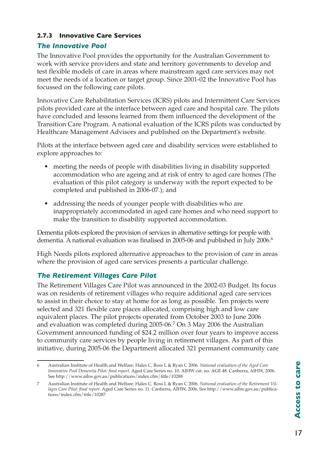#### **2.7.3 Innovative Care Services**

### *The Innovative Pool*

The Innovative Pool provides the opportunity for the Australian Government to work with service providers and state and territory governments to develop and test flexible models of care in areas where mainstream aged care services may not meet the needs of a location or target group. Since 2001-02 the Innovative Pool has focussed on the following care pilots.

Innovative Care Rehabilitation Services (ICRS) pilots and Intermittent Care Services pilots provided care at the interface between aged care and hospital care. The pilots have concluded and lessons learned from them influenced the development of the Transition Care Program. A national evaluation of the ICRS pilots was conducted by Healthcare Management Advisors and published on the Department's website.

Pilots at the interface between aged care and disability services were established to explore approaches to:

- meeting the needs of people with disabilities living in disability supported accommodation who are ageing and at risk of entry to aged care homes (The evaluation of this pilot category is underway with the report expected to be completed and published in 2006-07.); and
- addressing the needs of younger people with disabilities who are inappropriately accommodated in aged care homes and who need support to make the transition to disability supported accommodation.

Dementia pilots explored the provision of services in alternative settings for people with dementia. A national evaluation was finalised in 2005-06 and published in July 2006.<sup>6</sup>

High Needs pilots explored alternative approaches to the provision of care in areas where the provision of aged care services presents a particular challenge.

### *The Retirement Villages Care Pilot*

The Retirement Villages Care Pilot was announced in the 2002-03 Budget. Its focus was on residents of retirement villages who require additional aged care services to assist in their choice to stay at home for as long as possible. Ten projects were selected and 321 flexible care places allocated, comprising high and low care equivalent places. The pilot projects operated from October 2003 to June 2006 and evaluation was completed during 2005-06.7 On 3 May 2006 the Australian Government announced funding of \$24.2 million over four years to improve access to community care services by people living in retirement villages. As part of this initiative, during 2005-06 the Department allocated 321 permanent community care

<sup>6</sup> Australian Institute of Health and Welfare: Hales C, Ross L & Ryan C 2006. *National evaluation of the Aged Care Innovative Pool Dementia Pilot: final report*. Aged Care Series no. 10. AIHW cat. no. AGE 48. Canberra, AIHW, 2006. See http://www.aihw.gov.au/publications/index.cfm/title/10288

<sup>7</sup> Australian Institute of Health and Welfare: Hales C, Ross L & Ryan C 2006. *National evaluation of the Retirement Villages Care Pilot: final report.* Aged Care Series no. 11. Canberra, AIHW, 2006. See http://www.aihw.gov.au/publications/index.cfm/title/10287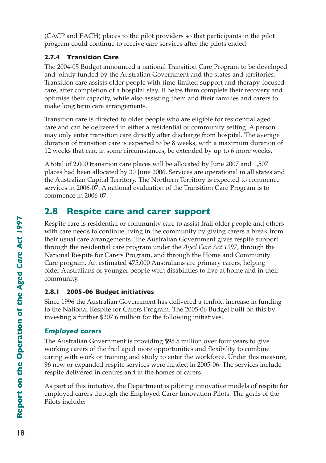(CACP and EACH) places to the pilot providers so that participants in the pilot program could continue to receive care services after the pilots ended.

### **2.7.4 Transition Care**

The 2004-05 Budget announced a national Transition Care Program to be developed and jointly funded by the Australian Government and the states and territories. Transition care assists older people with time-limited support and therapy-focused care, after completion of a hospital stay. It helps them complete their recovery and optimise their capacity, while also assisting them and their families and carers to make long term care arrangements.

Transition care is directed to older people who are eligible for residential aged care and can be delivered in either a residential or community setting. A person may only enter transition care directly after discharge from hospital. The average duration of transition care is expected to be 8 weeks, with a maximum duration of 12 weeks that can, in some circumstances, be extended by up to 6 more weeks.

A total of 2,000 transition care places will be allocated by June 2007 and 1,507 places had been allocated by 30 June 2006. Services are operational in all states and the Australian Capital Territory. The Northern Territory is expected to commence services in 2006-07. A national evaluation of the Transition Care Program is to commence in 2006-07.

## **2.8 Respite care and carer support**

Respite care is residential or community care to assist frail older people and others with care needs to continue living in the community by giving carers a break from their usual care arrangements. The Australian Government gives respite support through the residential care program under the *Aged Care Act 1997*, through the National Respite for Carers Program, and through the Home and Community Care program. An estimated 475,000 Australians are primary carers, helping older Australians or younger people with disabilities to live at home and in their community.

### **2.8.1 2005-06 Budget initiatives**

Since 1996 the Australian Government has delivered a tenfold increase in funding to the National Respite for Carers Program. The 2005-06 Budget built on this by investing a further \$207.6 million for the following initiatives.

## *Employed carers*

The Australian Government is providing \$95.5 million over four years to give working carers of the frail aged more opportunities and flexibility to combine caring with work or training and study to enter the workforce. Under this measure, 96 new or expanded respite services were funded in 2005-06. The services include respite delivered in centres and in the homes of carers.

As part of this initiative, the Department is piloting innovative models of respite for employed carers through the Employed Carer Innovation Pilots. The goals of the Pilots include: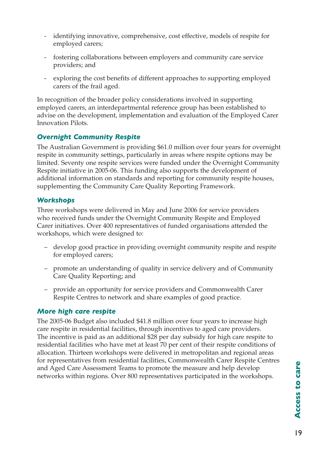- identifying innovative, comprehensive, cost effective, models of respite for employed carers;
- fostering collaborations between employers and community care service providers; and
- exploring the cost benefits of different approaches to supporting employed carers of the frail aged.

In recognition of the broader policy considerations involved in supporting employed carers, an interdepartmental reference group has been established to advise on the development, implementation and evaluation of the Employed Carer Innovation Pilots.

#### *Overnight Community Respite*

The Australian Government is providing \$61.0 million over four years for overnight respite in community settings, particularly in areas where respite options may be limited. Seventy one respite services were funded under the Overnight Community Respite initiative in 2005-06. This funding also supports the development of additional information on standards and reporting for community respite houses, supplementing the Community Care Quality Reporting Framework.

#### *Workshops*

Three workshops were delivered in May and June 2006 for service providers who received funds under the Overnight Community Respite and Employed Carer initiatives. Over 400 representatives of funded organisations attended the workshops, which were designed to:

- develop good practice in providing overnight community respite and respite for employed carers;
- promote an understanding of quality in service delivery and of Community Care Quality Reporting; and
- provide an opportunity for service providers and Commonwealth Carer Respite Centres to network and share examples of good practice.

#### *More high care respite*

The 2005-06 Budget also included \$41.8 million over four years to increase high care respite in residential facilities, through incentives to aged care providers. The incentive is paid as an additional \$28 per day subsidy for high care respite to residential facilities who have met at least 70 per cent of their respite conditions of allocation. Thirteen workshops were delivered in metropolitan and regional areas for representatives from residential facilities, Commonwealth Carer Respite Centres and Aged Care Assessment Teams to promote the measure and help develop networks within regions. Over 800 representatives participated in the workshops.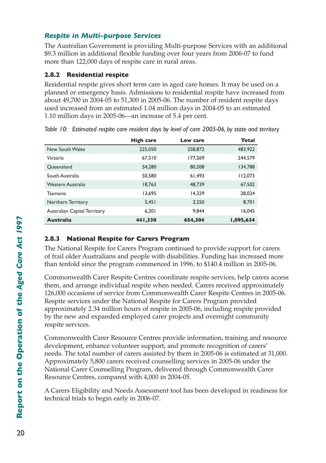### *Respite in Multi-purpose Services*

The Australian Government is providing Multi-purpose Services with an additional \$9.3 million in additional flexible funding over four years from 2006-07 to fund more than 122,000 days of respite care in rural areas.

#### **2.8.2 Residential respite**

Residential respite gives short term care in aged care homes. It may be used on a planned or emergency basis. Admissions to residential respite have increased from about 49,700 in 2004-05 to 51,300 in 2005-06. The number of resident respite days used increased from an estimated 1.04 million days in 2004-05 to an estimated 1.10 million days in 2005-06—an increase of 5.4 per cent.

|                                     | <b>High care</b> | Low care | Total     |
|-------------------------------------|------------------|----------|-----------|
| New South Wales                     | 225,050          | 258,872  | 483,922   |
| Victoria                            | 67,310           | 177,269  | 244,579   |
| Queensland                          | 54,280           | 80,508   | 134,788   |
| South Australia                     | 50,580           | 61.493   | 112,073   |
| Western Australia                   | 18.763           | 48.739   | 67,502    |
| Tasmania                            | 13.695           | 14.329   | 28.024    |
| Northern Territory                  | 5,451            | 3,250    | 8.701     |
| <b>Australian Capital Territory</b> | 6.201            | 9.844    | 16.045    |
| <b>Australia</b>                    | 441,330          | 654,304  | 1,095,634 |

*Table 10: Estimated respite care resident days by level of care 2005-06, by state and territory*

### **2.8.3 National Respite for Carers Program**

The National Respite for Carers Program continued to provide support for carers of frail older Australians and people with disabilities. Funding has increased more than tenfold since the program commenced in 1996, to \$140.4 million in 2005-06.

Commonwealth Carer Respite Centres coordinate respite services, help carers access them, and arrange individual respite when needed. Carers received approximately 126,000 occasions of service from Commonwealth Carer Respite Centres in 2005-06. Respite services under the National Respite for Carers Program provided approximately 2.34 million hours of respite in 2005-06, including respite provided by the new and expanded employed carer projects and overnight community respite services.

Commonwealth Carer Resource Centres provide information, training and resource development, enhance volunteer support, and promote recognition of carers' needs. The total number of carers assisted by them in 2005-06 is estimated at 31,000. Approximately 5,800 carers received counselling services in 2005-06 under the National Carer Counselling Program, delivered through Commonwealth Carer Resource Centres, compared with 4,000 in 2004-05.

A Carers Eligibility and Needs Assessment tool has been developed in readiness for technical trials to begin early in 2006-07.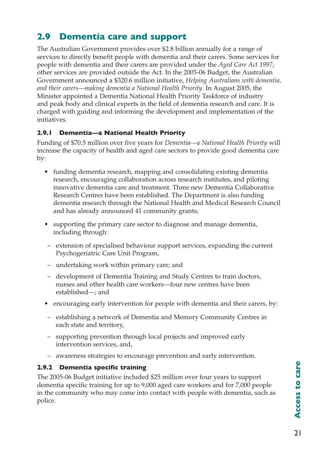# **2.9 Dementia care and support**

The Australian Government provides over \$2.8 billion annually for a range of services to directly benefit people with dementia and their carers. Some services for people with dementia and their carers are provided under the *Aged Care Act 1997*; other services are provided outside the Act. In the 2005-06 Budget, the Australian Government announced a \$320.6 million initiative, *Helping Australians with dementia, and their carers—making dementia a National Health Priority*. In August 2005, the Minister appointed a Dementia National Health Priority Taskforce of industry and peak body and clinical experts in the field of dementia research and care. It is charged with guiding and informing the development and implementation of the initiatives.

### **2.9.1 Dementia—a National Health Priority**

Funding of \$70.5 million over five years for *Dementia—a National Health Priority* will increase the capacity of health and aged care sectors to provide good dementia care by:

- funding dementia research, mapping and consolidating existing dementia research, encouraging collaboration across research institutes, and piloting innovative dementia care and treatment. Three new Dementia Collaborative Research Centres have been established. The Department is also funding dementia research through the National Health and Medical Research Council and has already announced 41 community grants;
- supporting the primary care sector to diagnose and manage dementia, including through:
- extension of specialised behaviour support services, expanding the current Psychogeriatric Care Unit Program,
- undertaking work within primary care; and
- development of Dementia Training and Study Centres to train doctors, nurses and other health care workers—four new centres have been established—; and
- encouraging early intervention for people with dementia and their carers, by:
- establishing a network of Dementia and Memory Community Centres in each state and territory,
- supporting prevention through local projects and improved early intervention services, and,
- awareness strategies to encourage prevention and early intervention.

#### **2.9.2 Dementia specific training**

The 2005-06 Budget initiative included \$25 million over four years to support dementia specific training for up to 9,000 aged care workers and for 7,000 people in the community who may come into contact with people with dementia, such as police.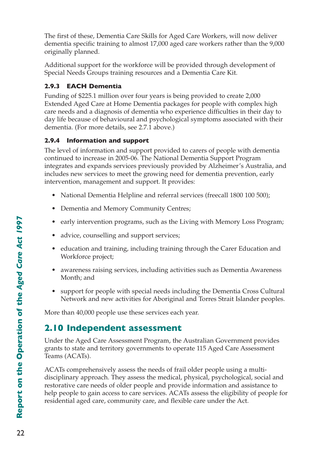The first of these, Dementia Care Skills for Aged Care Workers, will now deliver dementia specific training to almost 17,000 aged care workers rather than the 9,000 originally planned.

Additional support for the workforce will be provided through development of Special Needs Groups training resources and a Dementia Care Kit.

### **2.9.3 EACH Dementia**

Funding of \$225.1 million over four years is being provided to create 2,000 Extended Aged Care at Home Dementia packages for people with complex high care needs and a diagnosis of dementia who experience difficulties in their day to day life because of behavioural and psychological symptoms associated with their dementia. (For more details, see 2.7.1 above.)

### **2.9.4 Information and support**

The level of information and support provided to carers of people with dementia continued to increase in 2005-06. The National Dementia Support Program integrates and expands services previously provided by Alzheimer's Australia, and includes new services to meet the growing need for dementia prevention, early intervention, management and support. It provides:

- National Dementia Helpline and referral services (freecall 1800 100 500);
- Dementia and Memory Community Centres;
- early intervention programs, such as the Living with Memory Loss Program;
- advice, counselling and support services;
- education and training, including training through the Carer Education and Workforce project;
- awareness raising services, including activities such as Dementia Awareness Month; and
- support for people with special needs including the Dementia Cross Cultural Network and new activities for Aboriginal and Torres Strait Islander peoples.

More than 40,000 people use these services each year.

## **2.10 Independent assessment**

Under the Aged Care Assessment Program, the Australian Government provides grants to state and territory governments to operate 115 Aged Care Assessment Teams (ACATs).

ACATs comprehensively assess the needs of frail older people using a multidisciplinary approach. They assess the medical, physical, psychological, social and restorative care needs of older people and provide information and assistance to help people to gain access to care services. ACATs assess the eligibility of people for residential aged care, community care, and flexible care under the Act.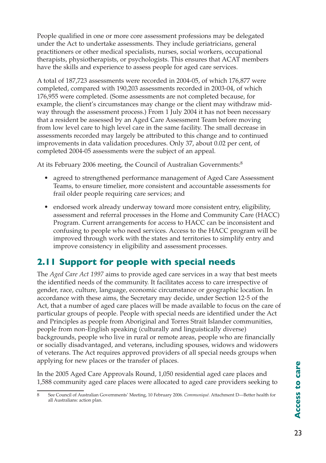People qualified in one or more core assessment professions may be delegated under the Act to undertake assessments. They include geriatricians, general practitioners or other medical specialists, nurses, social workers, occupational therapists, physiotherapists, or psychologists. This ensures that ACAT members have the skills and experience to assess people for aged care services.

A total of 187,723 assessments were recorded in 2004-05, of which 176,877 were completed, compared with 190,203 assessments recorded in 2003-04, of which 176,955 were completed. (Some assessments are not completed because, for example, the client's circumstances may change or the client may withdraw midway through the assessment process.) From 1 July 2004 it has not been necessary that a resident be assessed by an Aged Care Assessment Team before moving from low level care to high level care in the same facility. The small decrease in assessments recorded may largely be attributed to this change and to continued improvements in data validation procedures. Only 37, about 0.02 per cent, of completed 2004-05 assessments were the subject of an appeal.

At its February 2006 meeting, the Council of Australian Governments:<sup>8</sup>

- agreed to strengthened performance management of Aged Care Assessment Teams, to ensure timelier, more consistent and accountable assessments for frail older people requiring care services; and
- endorsed work already underway toward more consistent entry, eligibility, assessment and referral processes in the Home and Community Care (HACC) Program. Current arrangements for access to HACC can be inconsistent and confusing to people who need services. Access to the HACC program will be improved through work with the states and territories to simplify entry and improve consistency in eligibility and assessment processes.

## **2.11 Support for people with special needs**

The *Aged Care Act 1997* aims to provide aged care services in a way that best meets the identified needs of the community. It facilitates access to care irrespective of gender, race, culture, language, economic circumstance or geographic location. In accordance with these aims, the Secretary may decide, under Section 12-5 of the Act, that a number of aged care places will be made available to focus on the care of particular groups of people. People with special needs are identified under the Act and Principles as people from Aboriginal and Torres Strait Islander communities, people from non-English speaking (culturally and linguistically diverse) backgrounds, people who live in rural or remote areas, people who are financially or socially disadvantaged, and veterans, including spouses, widows and widowers of veterans. The Act requires approved providers of all special needs groups when applying for new places or the transfer of places.

In the 2005 Aged Care Approvals Round, 1,050 residential aged care places and 1,588 community aged care places were allocated to aged care providers seeking to

<sup>8</sup> See Council of Australian Governments' Meeting, 10 February 2006. *Communiqué.* Attachment D—Better health for all Australians: action plan.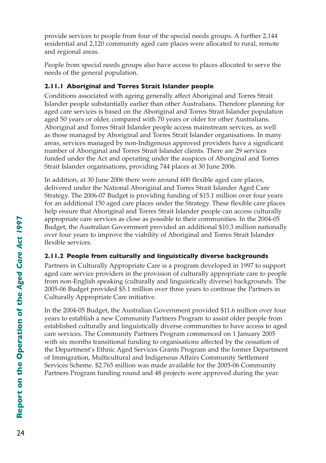provide services to people from four of the special needs groups. A further 2,144 residential and 2,120 community aged care places were allocated to rural, remote and regional areas.

People from special needs groups also have access to places allocated to serve the needs of the general population.

## **2.11.1 Aboriginal and Torres Strait Islander people**

Conditions associated with ageing generally affect Aboriginal and Torres Strait Islander people substantially earlier than other Australians. Therefore planning for aged care services is based on the Aboriginal and Torres Strait Islander population aged 50 years or older, compared with 70 years or older for other Australians. Aboriginal and Torres Strait Islander people access mainstream services, as well as those managed by Aboriginal and Torres Strait Islander organisations. In many areas, services managed by non-Indigenous approved providers have a significant number of Aboriginal and Torres Strait Islander clients. There are 29 services funded under the Act and operating under the auspices of Aboriginal and Torres Strait Islander organisations, providing 744 places at 30 June 2006.

In addition, at 30 June 2006 there were around 600 flexible aged care places, delivered under the National Aboriginal and Torres Strait Islander Aged Care Strategy. The 2006-07 Budget is providing funding of \$15.1 million over four years for an additional 150 aged care places under the Strategy. These flexible care places help ensure that Aboriginal and Torres Strait Islander people can access culturally appropriate care services as close as possible to their communities. In the 2004-05 Budget, the Australian Government provided an additional \$10.3 million nationally over four years to improve the viability of Aboriginal and Torres Strait Islander flexible services.

## **2.11.2 People from culturally and linguistically diverse backgrounds**

Partners in Culturally Appropriate Care is a program developed in 1997 to support aged care service providers in the provision of culturally appropriate care to people from non-English speaking (culturally and linguistically diverse) backgrounds. The 2005-06 Budget provided \$5.1 million over three years to continue the Partners in Culturally Appropriate Care initiative.

In the 2004-05 Budget, the Australian Government provided \$11.6 million over four years to establish a new Community Partners Program to assist older people from established culturally and linguistically diverse communities to have access to aged care services. The Community Partners Program commenced on 1 January 2005 with six months transitional funding to organisations affected by the cessation of the Department's Ethnic Aged Services Grants Program and the former Department of Immigration, Multicultural and Indigenous Affairs Community Settlement Services Scheme. \$2.765 million was made available for the 2005-06 Community Partners Program funding round and 48 projects were approved during the year.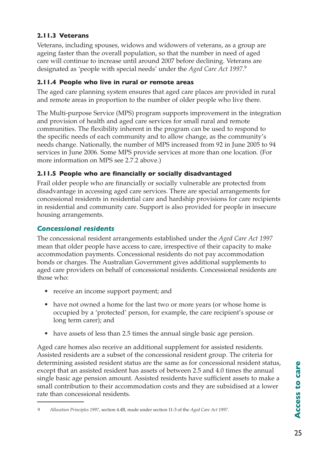## **2.11.3 Veterans**

Veterans, including spouses, widows and widowers of veterans, as a group are ageing faster than the overall population, so that the number in need of aged care will continue to increase until around 2007 before declining. Veterans are designated as 'people with special needs' under the *Aged Care Act 1997*. 9

## **2.11.4 People who live in rural or remote areas**

The aged care planning system ensures that aged care places are provided in rural and remote areas in proportion to the number of older people who live there.

The Multi-purpose Service (MPS) program supports improvement in the integration and provision of health and aged care services for small rural and remote communities. The flexibility inherent in the program can be used to respond to the specific needs of each community and to allow change, as the community's needs change. Nationally, the number of MPS increased from 92 in June 2005 to 94 services in June 2006. Some MPS provide services at more than one location. (For more information on MPS see 2.7.2 above.)

## **2.11.5 People who are financially or socially disadvantaged**

Frail older people who are financially or socially vulnerable are protected from disadvantage in accessing aged care services. There are special arrangements for concessional residents in residential care and hardship provisions for care recipients in residential and community care. Support is also provided for people in insecure housing arrangements.

## *Concessional residents*

The concessional resident arrangements established under the *Aged Care Act 1997* mean that older people have access to care, irrespective of their capacity to make accommodation payments. Concessional residents do not pay accommodation bonds or charges. The Australian Government gives additional supplements to aged care providers on behalf of concessional residents. Concessional residents are those who:

- receive an income support payment; and
- have not owned a home for the last two or more years (or whose home is occupied by a 'protected' person, for example, the care recipient's spouse or long term carer); and
- have assets of less than 2.5 times the annual single basic age pension.

Aged care homes also receive an additional supplement for assisted residents. Assisted residents are a subset of the concessional resident group. The criteria for determining assisted resident status are the same as for concessional resident status, except that an assisted resident has assets of between 2.5 and 4.0 times the annual single basic age pension amount. Assisted residents have sufficient assets to make a small contribution to their accommodation costs and they are subsidised at a lower rate than concessional residents.

<sup>9</sup>  *Allocation Principles 1997*, section 4.4B, made under section 11-3 of the *Aged Care Act 1997*.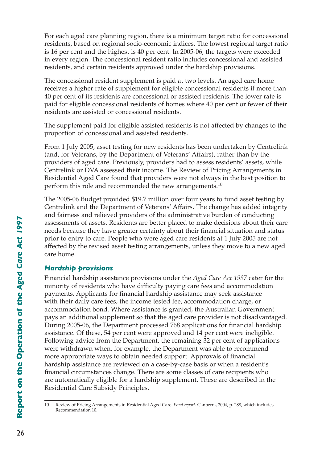For each aged care planning region, there is a minimum target ratio for concessional residents, based on regional socio-economic indices. The lowest regional target ratio is 16 per cent and the highest is 40 per cent. In 2005-06, the targets were exceeded in every region. The concessional resident ratio includes concessional and assisted residents, and certain residents approved under the hardship provisions.

The concessional resident supplement is paid at two levels. An aged care home receives a higher rate of supplement for eligible concessional residents if more than 40 per cent of its residents are concessional or assisted residents. The lower rate is paid for eligible concessional residents of homes where 40 per cent or fewer of their residents are assisted or concessional residents.

The supplement paid for eligible assisted residents is not affected by changes to the proportion of concessional and assisted residents.

From 1 July 2005, asset testing for new residents has been undertaken by Centrelink (and, for Veterans, by the Department of Veterans' Affairs), rather than by the providers of aged care. Previously, providers had to assess residents' assets, while Centrelink or DVA assessed their income. The Review of Pricing Arrangements in Residential Aged Care found that providers were not always in the best position to perform this role and recommended the new arrangements. $10$ 

The 2005-06 Budget provided \$19.7 million over four years to fund asset testing by Centrelink and the Department of Veterans' Affairs. The change has added integrity and fairness and relieved providers of the administrative burden of conducting assessments of assets. Residents are better placed to make decisions about their care needs because they have greater certainty about their financial situation and status prior to entry to care. People who were aged care residents at 1 July 2005 are not affected by the revised asset testing arrangements, unless they move to a new aged care home.

## *Hardship provisions*

Financial hardship assistance provisions under the *Aged Care Act 1997* cater for the minority of residents who have difficulty paying care fees and accommodation payments. Applicants for financial hardship assistance may seek assistance with their daily care fees, the income tested fee, accommodation charge, or accommodation bond. Where assistance is granted, the Australian Government pays an additional supplement so that the aged care provider is not disadvantaged. During 2005-06, the Department processed 768 applications for financial hardship assistance. Of these, 54 per cent were approved and 14 per cent were ineligible. Following advice from the Department, the remaining 32 per cent of applications were withdrawn when, for example, the Department was able to recommend more appropriate ways to obtain needed support. Approvals of financial hardship assistance are reviewed on a case-by-case basis or when a resident's financial circumstances change. There are some classes of care recipients who are automatically eligible for a hardship supplement. These are described in the Residential Care Subsidy Principles.

<sup>10</sup> Review of Pricing Arrangements in Residential Aged Care. *Final report*. Canberra, 2004, p. 288, which includes Recommendation 10.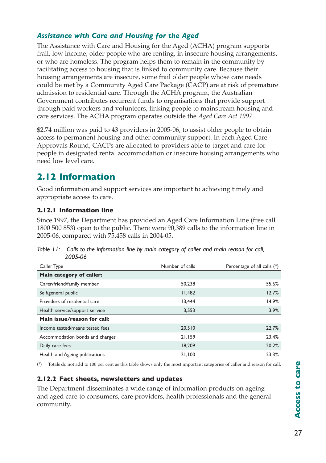## *Assistance with Care and Housing for the Aged*

The Assistance with Care and Housing for the Aged (ACHA) program supports frail, low income, older people who are renting, in insecure housing arrangements, or who are homeless. The program helps them to remain in the community by facilitating access to housing that is linked to community care. Because their housing arrangements are insecure, some frail older people whose care needs could be met by a Community Aged Care Package (CACP) are at risk of premature admission to residential care. Through the ACHA program, the Australian Government contributes recurrent funds to organisations that provide support through paid workers and volunteers, linking people to mainstream housing and care services. The ACHA program operates outside the *Aged Care Act 1997*.

\$2.74 million was paid to 43 providers in 2005-06, to assist older people to obtain access to permanent housing and other community support. In each Aged Care Approvals Round, CACPs are allocated to providers able to target and care for people in designated rental accommodation or insecure housing arrangements who need low level care.

# **2.12 Information**

Good information and support services are important to achieving timely and appropriate access to care.

## **2.12.1 Information line**

Since 1997, the Department has provided an Aged Care Information Line (free call 1800 500 853) open to the public. There were 90,389 calls to the information line in 2005-06, compared with 75,458 calls in 2004-05.

*Table 11: Calls to the information line by main category of caller and main reason for call, 2005-06*

| Caller Type                     | Number of calls | Percentage of all calls (*) |
|---------------------------------|-----------------|-----------------------------|
| Main category of caller:        |                 |                             |
| Carer/friend/family member      | 50.238          | 55.6%                       |
| Self/general public             | 11,482          | 12.7%                       |
| Providers of residential care   | 13.444          | 14.9%                       |
| Health service/support service  | 3,553           | 3.9%                        |
| Main issue/reason for call:     |                 |                             |
| Income tested/means tested fees | 20,510          | 22.7%                       |
| Accommodation bonds and charges | 21,159          | 23.4%                       |
| Daily care fees                 | 18,209          | 20.2%                       |
| Health and Ageing publications  | 21,100          | 23.3%                       |

(\*) Totals do not add to 100 per cent as this table shows only the most important categories of caller and reason for call.

## **2.12.2 Fact sheets, newsletters and updates**

The Department disseminates a wide range of information products on ageing and aged care to consumers, care providers, health professionals and the general community.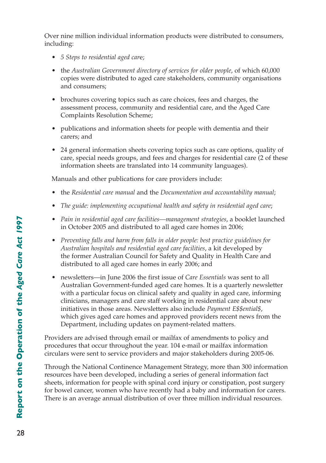Over nine million individual information products were distributed to consumers, including:

- *5 Steps to residential aged car*e;
- the *Australian Government directory of services for older people*, of which 60,000 copies were distributed to aged care stakeholders, community organisations and consumers;
- brochures covering topics such as care choices, fees and charges, the assessment process, community and residential care, and the Aged Care Complaints Resolution Scheme;
- publications and information sheets for people with dementia and their carers; and
- 24 general information sheets covering topics such as care options, quality of care, special needs groups, and fees and charges for residential care (2 of these information sheets are translated into 14 community languages).

Manuals and other publications for care providers include:

- the *Residential care manual* and the *Documentation and accountability manual*;
- *The guide: implementing occupational health and safety in residential aged care*;
- *Pain in residential aged care facilities—management strategies*, a booklet launched in October 2005 and distributed to all aged care homes in 2006;
- *Preventing falls and harm from falls in older people: best practice guidelines for Australian hospitals and residential aged care facilities*, a kit developed by the former Australian Council for Safety and Quality in Health Care and distributed to all aged care homes in early 2006; and
- newsletters—in June 2006 the first issue of *Care Essentials* was sent to all Australian Government-funded aged care homes. It is a quarterly newsletter with a particular focus on clinical safety and quality in aged care, informing clinicians, managers and care staff working in residential care about new initiatives in those areas. Newsletters also include *Payment E\$\$ential\$*, which gives aged care homes and approved providers recent news from the Department, including updates on payment-related matters.

Providers are advised through email or mailfax of amendments to policy and procedures that occur throughout the year. 104 e-mail or mailfax information circulars were sent to service providers and major stakeholders during 2005-06.

Through the National Continence Management Strategy, more than 300 information resources have been developed, including a series of general information fact sheets, information for people with spinal cord injury or constipation, post surgery for bowel cancer, women who have recently had a baby and information for carers. There is an average annual distribution of over three million individual resources.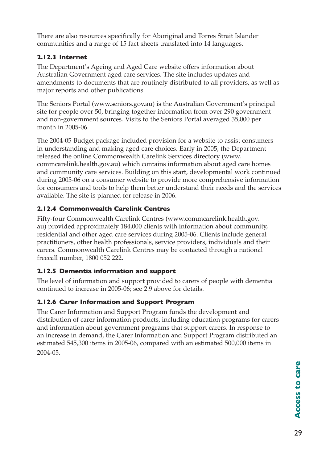There are also resources specifically for Aboriginal and Torres Strait Islander communities and a range of 15 fact sheets translated into 14 languages.

## **2.12.3 Internet**

The Department's Ageing and Aged Care website offers information about Australian Government aged care services. The site includes updates and amendments to documents that are routinely distributed to all providers, as well as major reports and other publications.

The Seniors Portal (www.seniors.gov.au) is the Australian Government's principal site for people over 50, bringing together information from over 290 government and non-government sources. Visits to the Seniors Portal averaged 35,000 per month in 2005-06.

The 2004-05 Budget package included provision for a website to assist consumers in understanding and making aged care choices. Early in 2005, the Department released the online Commonwealth Carelink Services directory (www. commcarelink.health.gov.au) which contains information about aged care homes and community care services. Building on this start, developmental work continued during 2005-06 on a consumer website to provide more comprehensive information for consumers and tools to help them better understand their needs and the services available. The site is planned for release in 2006.

## **2.12.4 Commonwealth Carelink Centres**

Fifty-four Commonwealth Carelink Centres (www.commcarelink.health.gov. au) provided approximately 184,000 clients with information about community, residential and other aged care services during 2005-06. Clients include general practitioners, other health professionals, service providers, individuals and their carers. Commonwealth Carelink Centres may be contacted through a national freecall number, 1800 052 222.

## **2.12.5 Dementia information and support**

The level of information and support provided to carers of people with dementia continued to increase in 2005-06; see 2.9 above for details.

## **2.12.6 Carer Information and Support Program**

The Carer Information and Support Program funds the development and distribution of carer information products, including education programs for carers and information about government programs that support carers. In response to an increase in demand, the Carer Information and Support Program distributed an estimated 545,300 items in 2005-06, compared with an estimated 500,000 items in 2004-05.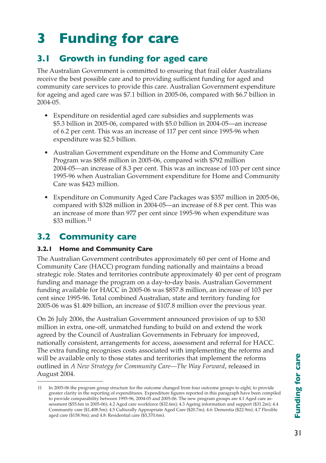# **3 Funding for care**

# **3.1 Growth in funding for aged care**

The Australian Government is committed to ensuring that frail older Australians receive the best possible care and to providing sufficient funding for aged and community care services to provide this care. Australian Government expenditure for ageing and aged care was \$7.1 billion in 2005-06, compared with \$6.7 billion in 2004-05.

- Expenditure on residential aged care subsidies and supplements was \$5.3 billion in 2005-06, compared with \$5.0 billion in 2004-05—an increase of 6.2 per cent. This was an increase of 117 per cent since 1995-96 when expenditure was \$2.5 billion.
- Australian Government expenditure on the Home and Community Care Program was \$858 million in 2005-06, compared with \$792 million 2004-05—an increase of 8.3 per cent. This was an increase of 103 per cent since 1995-96 when Australian Government expenditure for Home and Community Care was \$423 million.
- Expenditure on Community Aged Care Packages was \$357 million in 2005-06, compared with \$328 million in 2004-05—an increase of 8.8 per cent. This was an increase of more than 977 per cent since 1995-96 when expenditure was  $$33$  million.<sup>11</sup>

# **3.2 Community care**

## **3.2.1 Home and Community Care**

The Australian Government contributes approximately 60 per cent of Home and Community Care (HACC) program funding nationally and maintains a broad strategic role. States and territories contribute approximately 40 per cent of program funding and manage the program on a day-to-day basis. Australian Government funding available for HACC in 2005-06 was \$857.8 million, an increase of 103 per cent since 1995-96. Total combined Australian, state and territory funding for 2005-06 was \$1.409 billion, an increase of \$107.8 million over the previous year.

On 26 July 2006, the Australian Government announced provision of up to \$30 million in extra, one-off, unmatched funding to build on and extend the work agreed by the Council of Australian Governments in February for improved, nationally consistent, arrangements for access, assessment and referral for HACC. The extra funding recognises costs associated with implementing the reforms and will be available only to those states and territories that implement the reforms outlined in *A New Strategy for Community Care—The Way Forward*, released in August 2004.

<sup>11</sup> In 2005-06 the program group structure for the outcome changed from four outcome groups to eight, to provide greater clarity in the reporting of expenditures. Expenditure figures reported in this paragraph have been compiled to provide comparability between 1995-96, 2004-05 and 2005-06. The new program groups are 4.1 Aged care assessment (\$55.6m in 2005-06); 4.2 Aged care workforce (\$32.6m); 4.3 Ageing information and support (\$31.2m); 4.4 Community care (\$1,408.5m); 4.5 Culturally Appropriate Aged Care (\$20.7m); 4.6: Dementia (\$22.9m); 4.7 Flexible aged care (\$158.9m); and 4.8: Residential care (\$5,370.6m).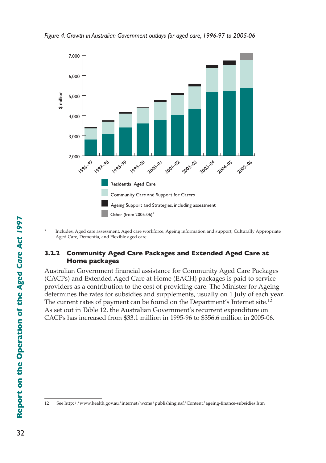

*Figure 4: Growth in Australian Government outlays for aged care, 1996-97 to 2005-06*

Includes, Aged care assessment, Aged care workforce, Ageing information and support, Culturally Appropriate Aged Care, Dementia, and Flexible aged care.

#### **3.2.2 Community Aged Care Packages and Extended Aged Care at Home packages**

Australian Government financial assistance for Community Aged Care Packages (CACPs) and Extended Aged Care at Home (EACH) packages is paid to service providers as a contribution to the cost of providing care. The Minister for Ageing determines the rates for subsidies and supplements, usually on 1 July of each year. The current rates of payment can be found on the Department's Internet site.<sup>12</sup> As set out in Table 12, the Australian Government's recurrent expenditure on CACPs has increased from \$33.1 million in 1995-96 to \$356.6 million in 2005-06.

<sup>12</sup>  See http://www.health.gov.au/internet/wcms/publishing.nsf/Content/ageing-finance-subsidies.htm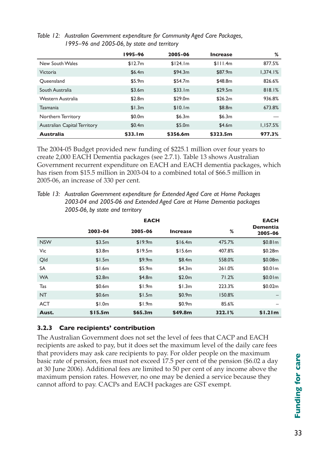|                                     | 1995-96             | 2005-06  | <b>Increase</b> | %        |
|-------------------------------------|---------------------|----------|-----------------|----------|
| New South Wales                     | \$12.7m             | \$124.1m | \$111.4m        | 877.5%   |
| <b>Victoria</b>                     | \$6.4m              | \$94.3m  | \$87.9m         | 1.374.1% |
| Oueensland                          | \$5.9m              | \$54.7m  | \$48.8m         | 826.6%   |
| South Australia                     | \$3.6m              | \$33.1m  | \$29.5m         | 818.1%   |
| Western Australia                   | \$2.8m              | \$29.0m  | \$26.2m         | 936.8%   |
| <b>Tasmania</b>                     | \$1.3m              | \$10.1m  | \$8.8m          | 673.8%   |
| Northern Territory                  | \$0.0 <sub>m</sub>  | \$6.3m   | \$6.3m          |          |
| <b>Australian Capital Territory</b> | \$0.4m              | \$5.0m   | \$4.6m          | 1,157.5% |
| <b>Australia</b>                    | \$33.1 <sub>m</sub> | \$356.6m | \$323.5m        | 977.3%   |

*Table 12: Australian Government expenditure for Community Aged Care Packages, 1995–96 and 2005-06, by state and territory*

The 2004-05 Budget provided new funding of \$225.1 million over four years to create 2,000 EACH Dementia packages (see 2.7.1). Table 13 shows Australian Government recurrent expenditure on EACH and EACH dementia packages, which has risen from \$15.5 million in 2003-04 to a combined total of \$66.5 million in 2005-06, an increase of 330 per cent.

*Table 13: Australian Government expenditure for Extended Aged Care at Home Packages 2003-04 and 2005-06 and Extended Aged Care at Home Dementia packages 2005-06, by state and territory*

|            |         |         | <b>EACH</b>     |        |                     |
|------------|---------|---------|-----------------|--------|---------------------|
|            | 2003-04 | 2005-06 | <b>Increase</b> | %      | Dementia<br>2005-06 |
| <b>NSW</b> | \$3.5m  | \$19.9m | \$16.4m         | 475.7% | \$0.81m             |
| Vic        | \$3.8m  | \$19.5m | \$15.6m         | 407.8% | \$0.28m             |
| Old        | \$1.5m  | \$9.9m  | \$8.4m          | 558.0% | \$0.08m             |
| SA         | \$1.6m  | \$5.9m  | \$4.3m          | 261.0% | \$0.01m             |
| <b>WA</b>  | \$2.8m  | \$4.8m  | \$2.0m          | 71.2%  | \$0.01m             |
| Tas        | \$0.6m  | \$1.9m  | \$1.3m          | 223.3% | \$0.02m             |
| <b>NT</b>  | \$0.6m  | \$1.5m  | \$0.9m          | 150.8% | -                   |
| <b>ACT</b> | \$1.0m  | \$1.9m  | \$0.9m          | 85.6%  |                     |
| Aust.      | \$15.5m | \$65.3m | \$49.8m         | 322.1% | \$1.21m             |

## **3.2.3 Care recipients' contribution**

The Australian Government does not set the level of fees that CACP and EACH recipients are asked to pay, but it does set the maximum level of the daily care fees that providers may ask care recipients to pay. For older people on the maximum basic rate of pension, fees must not exceed 17.5 per cent of the pension (\$6.02 a day at 30 June 2006). Additional fees are limited to 50 per cent of any income above the maximum pension rates. However, no one may be denied a service because they cannot afford to pay. CACPs and EACH packages are GST exempt.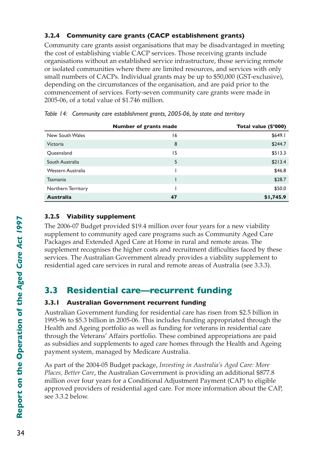## **3.2.4 Community care grants (CACP establishment grants)**

Community care grants assist organisations that may be disadvantaged in meeting the cost of establishing viable CACP services. Those receiving grants include organisations without an established service infrastructure, those servicing remote or isolated communities where there are limited resources, and services with only small numbers of CACPs. Individual grants may be up to \$50,000 (GST-exclusive), depending on the circumstances of the organisation, and are paid prior to the commencement of services. Forty-seven community care grants were made in 2005-06, of a total value of \$1.746 million.

|                    | <b>Number of grants made</b> | Total value (\$'000) |
|--------------------|------------------------------|----------------------|
| New South Wales    | 16                           | \$649.1              |
| Victoria           | 8                            | \$244.7              |
| Queensland         | 15                           | \$513.3              |
| South Australia    | 5                            | \$213.4              |
| Western Australia  |                              | \$46.8               |
| Tasmania           |                              | \$28.7               |
| Northern Territory |                              | \$50.0               |
| <b>Australia</b>   | 47                           | \$1,745.9            |

*Table 14: Community care establishment grants, 2005-06, by state and territory*

## **3.2.5 Viability supplement**

The 2006-07 Budget provided \$19.4 million over four years for a new viability supplement to community aged care programs such as Community Aged Care Packages and Extended Aged Care at Home in rural and remote areas. The supplement recognises the higher costs and recruitment difficulties faced by these services. The Australian Government already provides a viability supplement to residential aged care services in rural and remote areas of Australia (see 3.3.3).

## **3.3 Residential care—recurrent funding**

## **3.3.1 Australian Government recurrent funding**

Australian Government funding for residential care has risen from \$2.5 billion in 1995-96 to \$5.3 billion in 2005-06. This includes funding appropriated through the Health and Ageing portfolio as well as funding for veterans in residential care through the Veterans' Affairs portfolio. These combined appropriations are paid as subsidies and supplements to aged care homes through the Health and Ageing payment system, managed by Medicare Australia.

As part of the 2004-05 Budget package, *Investing in Australia's Aged Care: More Places, Better Care*, the Australian Government is providing an additional \$877.8 million over four years for a Conditional Adjustment Payment (CAP) to eligible approved providers of residential aged care. For more information about the CAP, see 3.3.2 below.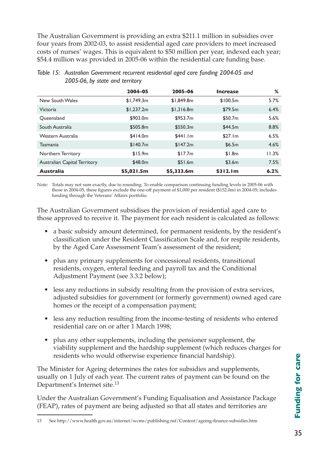The Australian Government is providing an extra \$211.1 million in subsidies over four years from 2002-03, to assist residential aged care providers to meet increased costs of nurses' wages. This is equivalent to \$50 million per year, indexed each year; \$54.4 million was provided in 2005-06 within the residential care funding base.

|                                     | 2004-05    | 2005-06    | <b>Increase</b> | %     |
|-------------------------------------|------------|------------|-----------------|-------|
| New South Wales                     | \$1,749.3m | \$1,849.8m | \$100.5m        | 5.7%  |
| Victoria                            | \$1,237.2m | \$1,316.8m | \$79.5m         | 6.4%  |
| Oueensland                          | \$903.0m   | \$953.7m   | \$50.7m         | 5.6%  |
| South Australia                     | \$505.8m   | \$550.3m   | \$44.5m         | 8.8%  |
| Western Australia                   | \$414.0m   | \$441.1m   | \$27.1m         | 6.5%  |
| <b>Tasmania</b>                     | \$140.7m   | \$147.2m   | \$6.5m          | 4.6%  |
| Northern Territory                  | \$15.9m    | \$17.7m    | \$1.8m          | 11.3% |
| <b>Australian Capital Territory</b> | \$48.0m    | \$51.6m    | \$3.6m          | 7.5%  |
| <b>Australia</b>                    | \$5,021.5m | \$5,333.6m | \$312.1m        | 6.2%  |

| Table 15: Australian Government recurrent residential aged care funding 2004-05 and |
|-------------------------------------------------------------------------------------|
| 2005-06, by state and territory                                                     |

Note: Totals may not sum exactly, due to rounding. To enable comparison continuing funding levels in 2005-06 with those in 2004-05, these figures exclude the one-off payment of \$1,000 per resident (\$152.0m) in 2004-05; includes funding through the Veterans' Affairs portfolio.

The Australian Government subsidises the provision of residential aged care to those approved to receive it. The payment for each resident is calculated as follows:

- a basic subsidy amount determined, for permanent residents, by the resident's classification under the Resident Classification Scale and, for respite residents, by the Aged Care Assessment Team's assessment of the resident;
- plus any primary supplements for concessional residents, transitional residents, oxygen, enteral feeding and payroll tax and the Conditional Adjustment Payment (see 3.3.2 below);
- less any reductions in subsidy resulting from the provision of extra services, adjusted subsidies for government (or formerly government) owned aged care homes or the receipt of a compensation payment;
- less any reduction resulting from the income-testing of residents who entered residential care on or after 1 March 1998;
- plus any other supplements, including the pensioner supplement, the viability supplement and the hardship supplement (which reduces charges for residents who would otherwise experience financial hardship).

The Minister for Ageing determines the rates for subsidies and supplements, usually on 1 July of each year. The current rates of payment can be found on the Department's Internet site.13

Under the Australian Government's Funding Equalisation and Assistance Package (FEAP), rates of payment are being adjusted so that all states and territories are

<sup>13</sup>  See http://www.health.gov.au/internet/wcms/publishing.nsf/Content/ageing-finance-subsidies.htm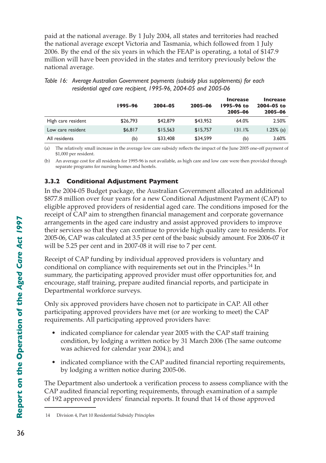paid at the national average. By 1 July 2004, all states and territories had reached the national average except Victoria and Tasmania, which followed from 1 July 2006. By the end of the six years in which the FEAP is operating, a total of \$147.9 million will have been provided in the states and territory previously below the national average.

|                    | 1995-96  | 2004-05  | 2005-06  | <b>Increase</b><br>1995-96 to<br>2005-06 | <b>Increase</b><br>2004-05 to<br>2005-06 |
|--------------------|----------|----------|----------|------------------------------------------|------------------------------------------|
| High care resident | \$26,793 | \$42,879 | \$43,952 | 64.0%                                    | 2.50%                                    |
| Low care resident  | \$6,817  | \$15.563 | \$15,757 | 131.1%                                   | $1.25\%$ (a)                             |
| All residents      | (b)      | \$33,408 | \$34,599 | (b)                                      | 3.60%                                    |

| Table 16: Average Australian Government payments (subsidy plus supplements) for each |
|--------------------------------------------------------------------------------------|
| residential aged care recipient, 1995-96, 2004-05 and 2005-06                        |

(a) The relatively small increase in the average low care subsidy reflects the impact of the June 2005 one-off payment of \$1,000 per resident.

(b) An average cost for all residents for 1995-96 is not available, as high care and low care were then provided through separate programs for nursing homes and hostels.

## **3.3.2 Conditional Adjustment Payment**

In the 2004-05 Budget package, the Australian Government allocated an additional \$877.8 million over four years for a new Conditional Adjustment Payment (CAP) to eligible approved providers of residential aged care. The conditions imposed for the receipt of CAP aim to strengthen financial management and corporate governance arrangements in the aged care industry and assist approved providers to improve their services so that they can continue to provide high quality care to residents. For 2005-06, CAP was calculated at 3.5 per cent of the basic subsidy amount. For 2006-07 it will be 5.25 per cent and in 2007-08 it will rise to 7 per cent.

Receipt of CAP funding by individual approved providers is voluntary and conditional on compliance with requirements set out in the Principles.14 In summary, the participating approved provider must offer opportunities for, and encourage, staff training, prepare audited financial reports, and participate in Departmental workforce surveys.

Only six approved providers have chosen not to participate in CAP. All other participating approved providers have met (or are working to meet) the CAP requirements. All participating approved providers have:

- indicated compliance for calendar year 2005 with the CAP staff training condition, by lodging a written notice by 31 March 2006 (The same outcome was achieved for calendar year 2004.); and
- indicated compliance with the CAP audited financial reporting requirements, by lodging a written notice during 2005-06.

The Department also undertook a verification process to assess compliance with the CAP audited financial reporting requirements, through examination of a sample of 192 approved providers' financial reports. It found that 14 of those approved

<sup>14</sup> Division 4, Part 10 Residential Subsidy Principles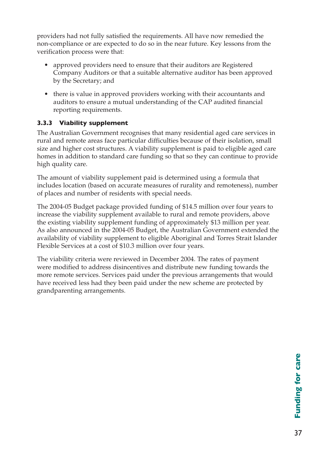providers had not fully satisfied the requirements. All have now remedied the non-compliance or are expected to do so in the near future. Key lessons from the verification process were that:

- approved providers need to ensure that their auditors are Registered Company Auditors or that a suitable alternative auditor has been approved by the Secretary; and
- there is value in approved providers working with their accountants and auditors to ensure a mutual understanding of the CAP audited financial reporting requirements.

## **3.3.3 Viability supplement**

The Australian Government recognises that many residential aged care services in rural and remote areas face particular difficulties because of their isolation, small size and higher cost structures. A viability supplement is paid to eligible aged care homes in addition to standard care funding so that so they can continue to provide high quality care.

The amount of viability supplement paid is determined using a formula that includes location (based on accurate measures of rurality and remoteness), number of places and number of residents with special needs.

The 2004-05 Budget package provided funding of \$14.5 million over four years to increase the viability supplement available to rural and remote providers, above the existing viability supplement funding of approximately \$13 million per year. As also announced in the 2004-05 Budget, the Australian Government extended the availability of viability supplement to eligible Aboriginal and Torres Strait Islander Flexible Services at a cost of \$10.3 million over four years.

The viability criteria were reviewed in December 2004. The rates of payment were modified to address disincentives and distribute new funding towards the more remote services. Services paid under the previous arrangements that would have received less had they been paid under the new scheme are protected by grandparenting arrangements.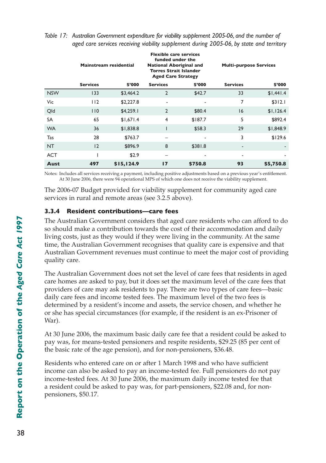|            | <b>Mainstream residential</b> |            | <b>Flexible care services</b><br>funded under the<br><b>National Aboriginal and</b><br><b>Torres Strait Islander</b><br><b>Aged Care Strategy</b> |         | <b>Multi-purpose Services</b> |           |  |
|------------|-------------------------------|------------|---------------------------------------------------------------------------------------------------------------------------------------------------|---------|-------------------------------|-----------|--|
|            | <b>Services</b>               | \$'000     | <b>Services</b>                                                                                                                                   | \$'000  | <b>Services</b>               | \$'000    |  |
| <b>NSW</b> | 133                           | \$3,464.2  | $\overline{2}$                                                                                                                                    | \$42.7  | 33                            | \$1,441.4 |  |
| Vic        | 112                           | \$2,227.8  | ۰                                                                                                                                                 |         | 7                             | \$312.1   |  |
| Qld        | 110                           | \$4,259.1  | $\overline{2}$                                                                                                                                    | \$80.4  | 16                            | \$1,126.4 |  |
| <b>SA</b>  | 65                            | \$1,671.4  | $\overline{4}$                                                                                                                                    | \$187.7 | 5                             | \$892.4   |  |
| <b>WA</b>  | 36                            | \$1,838.8  | ı                                                                                                                                                 | \$58.3  | 29                            | \$1,848.9 |  |
| Tas        | 28                            | \$763.7    |                                                                                                                                                   | ٠       | 3                             | \$129.6   |  |
| <b>NT</b>  | 12                            | \$896.9    | 8                                                                                                                                                 | \$381.8 | $\overline{\phantom{a}}$      |           |  |
| <b>ACT</b> |                               | \$2.9      |                                                                                                                                                   | ٠       | $\overline{\phantom{a}}$      | ٠         |  |
| Aust       | 497                           | \$15,124.9 | 17                                                                                                                                                | \$750.8 | 93                            | \$5,750.8 |  |

#### *Table 17: Australian Government expenditure for viability supplement 2005-06, and the number of aged care services receiving viability supplement during 2005-06, by state and territory*

Notes: Includes all services receiving a payment, including positive adjustments based on a previous year's entitlement. At 30 June 2006, there were 94 operational MPS of which one does not receive the viability supplement.

The 2006-07 Budget provided for viability supplement for community aged care services in rural and remote areas (see 3.2.5 above).

## **3.3.4 Resident contributions—care fees**

The Australian Government considers that aged care residents who can afford to do so should make a contribution towards the cost of their accommodation and daily living costs, just as they would if they were living in the community. At the same time, the Australian Government recognises that quality care is expensive and that Australian Government revenues must continue to meet the major cost of providing quality care.

The Australian Government does not set the level of care fees that residents in aged care homes are asked to pay, but it does set the maximum level of the care fees that providers of care may ask residents to pay. There are two types of care fees—basic daily care fees and income tested fees. The maximum level of the two fees is determined by a resident's income and assets, the service chosen, and whether he or she has special circumstances (for example, if the resident is an ex-Prisoner of War).

At 30 June 2006, the maximum basic daily care fee that a resident could be asked to pay was, for means-tested pensioners and respite residents, \$29.25 (85 per cent of the basic rate of the age pension), and for non-pensioners, \$36.48.

Residents who entered care on or after 1 March 1998 and who have sufficient income can also be asked to pay an income-tested fee. Full pensioners do not pay income-tested fees. At 30 June 2006, the maximum daily income tested fee that a resident could be asked to pay was, for part-pensioners, \$22.08 and, for nonpensioners, \$50.17.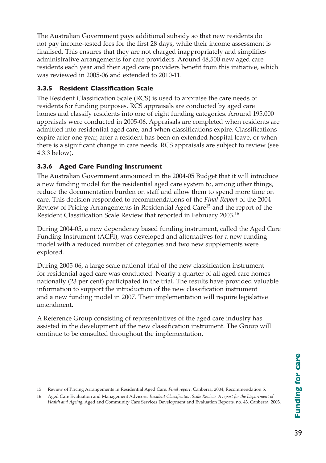The Australian Government pays additional subsidy so that new residents do not pay income-tested fees for the first 28 days, while their income assessment is finalised. This ensures that they are not charged inappropriately and simplifies administrative arrangements for care providers. Around 48,500 new aged care residents each year and their aged care providers benefit from this initiative, which was reviewed in 2005-06 and extended to 2010-11.

## **3.3.5 Resident Classification Scale**

The Resident Classification Scale (RCS) is used to appraise the care needs of residents for funding purposes. RCS appraisals are conducted by aged care homes and classify residents into one of eight funding categories. Around 195,000 appraisals were conducted in 2005-06. Appraisals are completed when residents are admitted into residential aged care, and when classifications expire. Classifications expire after one year, after a resident has been on extended hospital leave, or when there is a significant change in care needs. RCS appraisals are subject to review (see 4.3.3 below).

## **3.3.6 Aged Care Funding Instrument**

The Australian Government announced in the 2004-05 Budget that it will introduce a new funding model for the residential aged care system to, among other things, reduce the documentation burden on staff and allow them to spend more time on care. This decision responded to recommendations of the *Final Report* of the 2004 Review of Pricing Arrangements in Residential Aged Care15 and the report of the Resident Classification Scale Review that reported in February 2003.16

During 2004-05, a new dependency based funding instrument, called the Aged Care Funding Instrument (ACFI), was developed and alternatives for a new funding model with a reduced number of categories and two new supplements were explored.

During 2005-06, a large scale national trial of the new classification instrument for residential aged care was conducted. Nearly a quarter of all aged care homes nationally (23 per cent) participated in the trial. The results have provided valuable information to support the introduction of the new classification instrument and a new funding model in 2007. Their implementation will require legislative amendment.

A Reference Group consisting of representatives of the aged care industry has assisted in the development of the new classification instrument. The Group will continue to be consulted throughout the implementation.

<sup>15</sup> Review of Pricing Arrangements in Residential Aged Care. *Final report*. Canberra, 2004, Recommendation 5.

<sup>16</sup> Aged Care Evaluation and Management Advisors. *Resident Classification Scale Review: A report for the Department of Health and Ageing*; Aged and Community Care Services Development and Evaluation Reports, no. 43. Canberra, 2003.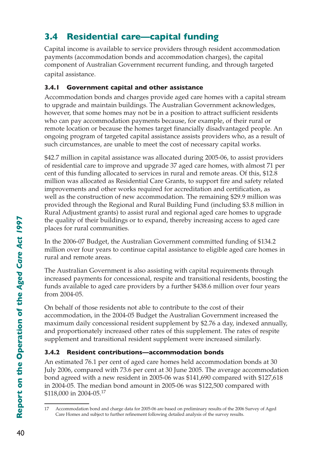# **3.4 Residential care—capital funding**

Capital income is available to service providers through resident accommodation payments (accommodation bonds and accommodation charges), the capital component of Australian Government recurrent funding, and through targeted capital assistance.

## **3.4.1 Government capital and other assistance**

Accommodation bonds and charges provide aged care homes with a capital stream to upgrade and maintain buildings. The Australian Government acknowledges, however, that some homes may not be in a position to attract sufficient residents who can pay accommodation payments because, for example, of their rural or remote location or because the homes target financially disadvantaged people. An ongoing program of targeted capital assistance assists providers who, as a result of such circumstances, are unable to meet the cost of necessary capital works.

\$42.7 million in capital assistance was allocated during 2005-06, to assist providers of residential care to improve and upgrade 37 aged care homes, with almost 71 per cent of this funding allocated to services in rural and remote areas. Of this, \$12.8 million was allocated as Residential Care Grants, to support fire and safety related improvements and other works required for accreditation and certification, as well as the construction of new accommodation. The remaining \$29.9 million was provided through the Regional and Rural Building Fund (including \$3.8 million in Rural Adjustment grants) to assist rural and regional aged care homes to upgrade the quality of their buildings or to expand, thereby increasing access to aged care places for rural communities.

In the 2006-07 Budget, the Australian Government committed funding of \$134.2 million over four years to continue capital assistance to eligible aged care homes in rural and remote areas.

The Australian Government is also assisting with capital requirements through increased payments for concessional, respite and transitional residents, boosting the funds available to aged care providers by a further \$438.6 million over four years from 2004-05.

On behalf of those residents not able to contribute to the cost of their accommodation, in the 2004-05 Budget the Australian Government increased the maximum daily concessional resident supplement by \$2.76 a day, indexed annually, and proportionately increased other rates of this supplement. The rates of respite supplement and transitional resident supplement were increased similarly.

## **3.4.2 Resident contributions—accommodation bonds**

An estimated 76.1 per cent of aged care homes held accommodation bonds at 30 July 2006, compared with 73.6 per cent at 30 June 2005. The average accommodation bond agreed with a new resident in 2005-06 was \$141,690 compared with \$127,618 in 2004-05. The median bond amount in 2005-06 was \$122,500 compared with \$118,000 in 2004-05.<sup>17</sup>

<sup>17</sup> Accommodation bond and charge data for 2005-06 are based on preliminary results of the 2006 Survey of Aged Care Homes and subject to further refinement following detailed analysis of the survey results.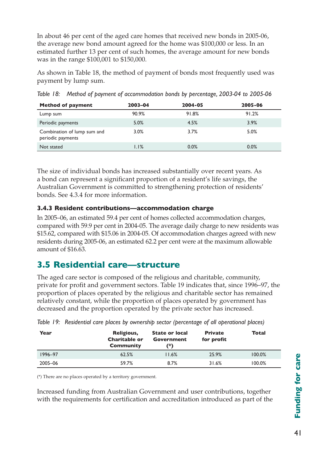In about 46 per cent of the aged care homes that received new bonds in 2005-06, the average new bond amount agreed for the home was \$100,000 or less. In an estimated further 13 per cent of such homes, the average amount for new bonds was in the range \$100,001 to \$150,000.

As shown in Table 18, the method of payment of bonds most frequently used was payment by lump sum.

| <b>Method of payment</b>                         | 2003-04 | 2004-05 | 2005-06 |
|--------------------------------------------------|---------|---------|---------|
| Lump sum                                         | 90.9%   | 91.8%   | 91.2%   |
| Periodic payments                                | 5.0%    | 4.5%    | 3.9%    |
| Combination of lump sum and<br>periodic payments | $3.0\%$ | 3.7%    | 5.0%    |
| Not stated                                       | 1.1%    | 0.0%    | 0.0%    |

*Table 18: Method of payment of accommodation bonds by percentage, 2003-04 to 2005-06*

The size of individual bonds has increased substantially over recent years. As a bond can represent a significant proportion of a resident's life savings, the Australian Government is committed to strengthening protection of residents' bonds. See 4.3.4 for more information.

#### **3.4.3 Resident contributions—accommodation charge**

In 2005–06, an estimated 59.4 per cent of homes collected accommodation charges, compared with 59.9 per cent in 2004-05. The average daily charge to new residents was \$15.62, compared with \$15.06 in 2004-05. Of accommodation charges agreed with new residents during 2005-06, an estimated 62.2 per cent were at the maximum allowable amount of \$16.63.

## **3.5 Residential care—structure**

The aged care sector is composed of the religious and charitable, community, private for profit and government sectors. Table 19 indicates that, since 1996–97, the proportion of places operated by the religious and charitable sector has remained relatively constant, while the proportion of places operated by government has decreased and the proportion operated by the private sector has increased.

| Year    | Religious,<br><b>Charitable or</b><br><b>Community</b> | <b>State or local</b><br>Government<br>(*) | <b>Private</b><br>for profit | Total  |
|---------|--------------------------------------------------------|--------------------------------------------|------------------------------|--------|
| 1996-97 | 62.5%                                                  | 11.6%                                      | 25.9%                        | 100.0% |
| 2005-06 | 59.7%                                                  | 8.7%                                       | 31.6%                        | 100.0% |

|  | Table 19: Residential care places by ownership sector (percentage of all operational places) |  |  |  |  |  |  |  |
|--|----------------------------------------------------------------------------------------------|--|--|--|--|--|--|--|
|--|----------------------------------------------------------------------------------------------|--|--|--|--|--|--|--|

(\*) There are no places operated by a territory government.

Increased funding from Australian Government and user contributions, together with the requirements for certification and accreditation introduced as part of the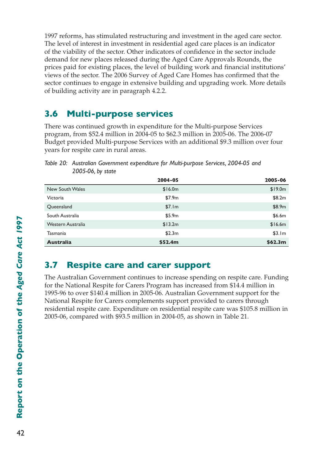1997 reforms, has stimulated restructuring and investment in the aged care sector. The level of interest in investment in residential aged care places is an indicator of the viability of the sector. Other indicators of confidence in the sector include demand for new places released during the Aged Care Approvals Rounds, the prices paid for existing places, the level of building work and financial institutions' views of the sector. The 2006 Survey of Aged Care Homes has confirmed that the sector continues to engage in extensive building and upgrading work. More details of building activity are in paragraph 4.2.2.

## **3.6 Multi-purpose services**

There was continued growth in expenditure for the Multi-purpose Services program, from \$52.4 million in 2004-05 to \$62.3 million in 2005-06. The 2006-07 Budget provided Multi-purpose Services with an additional \$9.3 million over four years for respite care in rural areas.

|                   | 2004-05 | 2005-06             |
|-------------------|---------|---------------------|
| New South Wales   | \$16.0m | \$19.0m             |
| Victoria          | \$7.9m  | \$8.2m              |
| Queensland        | \$7.1m  | \$8.9m              |
| South Australia   | \$5.9m  | \$6.6m              |
| Western Australia | \$13.2m | \$16.6m             |
| Tasmania          | \$2.3m  | \$3.1m              |
| <b>Australia</b>  | \$52.4m | \$62.3 <sub>m</sub> |

*Table 20: Australian Government expenditure for Multi-purpose Services, 2004-05 and 2005-06, by state*

## **3.7 Respite care and carer support**

The Australian Government continues to increase spending on respite care. Funding for the National Respite for Carers Program has increased from \$14.4 million in 1995-96 to over \$140.4 million in 2005-06. Australian Government support for the National Respite for Carers complements support provided to carers through residential respite care. Expenditure on residential respite care was \$105.8 million in 2005-06, compared with \$93.5 million in 2004-05, as shown in Table 21.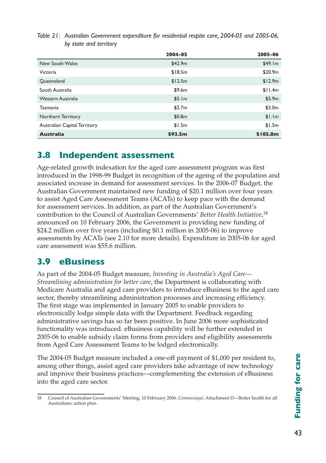|                              | 2004-05 | 2005-06  |
|------------------------------|---------|----------|
| New South Wales              | \$42.9m | \$49.1m  |
| Victoria                     | \$18.5m | \$20.9m  |
| Queensland                   | \$12.5m | \$12.9m  |
| South Australia              | \$9.6m  | \$11.4m  |
| Western Australia            | \$5.1m  | \$5.9m   |
| <b>Tasmania</b>              | \$2.7m  | \$3.0m   |
| Northern Territory           | \$0.8m  | \$1.1m   |
| Australian Capital Territory | \$1.5m  | \$1.5m   |
| <b>Australia</b>             | \$93.5m | \$105.8m |

*Table 21: Australian Government expenditure for residential respite care, 2004-05 and 2005-06, by state and territory*

## **3.8 Independent assessment**

Age-related growth indexation for the aged care assessment program was first introduced in the 1998-99 Budget in recognition of the ageing of the population and associated increase in demand for assessment services. In the 2006-07 Budget, the Australian Government maintained new funding of \$20.1 million over four years to assist Aged Care Assessment Teams (ACATs) to keep pace with the demand for assessment services. In addition, as part of the Australian Government's contribution to the Council of Australian Governments' *Better Health Initiative*, 18 announced on 10 February 2006, the Government is providing new funding of \$24.2 million over five years (including \$0.1 million in 2005-06) to improve assessments by ACATs (see 2.10 for more details). Expenditure in 2005-06 for aged care assessment was \$55.6 million.

## **3.9 eBusiness**

As part of the 2004-05 Budget measure, *Investing in Australia's Aged Care— Streamlining administration for better care*, the Department is collaborating with Medicare Australia and aged care providers to introduce eBusiness to the aged care sector, thereby streamlining administration processes and increasing efficiency. The first stage was implemented in January 2005 to enable providers to electronically lodge simple data with the Department. Feedback regarding administrative savings has so far been positive. In June 2006 more sophisticated functionality was introduced. eBusiness capability will be further extended in 2005-06 to enable subsidy claim forms from providers and eligibility assessments from Aged Care Assessment Teams to be lodged electronically.

The 2004-05 Budget measure included a one-off payment of \$1,000 per resident to, among other things, assist aged care providers take advantage of new technology and improve their business practices—complementing the extension of eBusiness into the aged care sector.

<sup>18</sup> Council of Australian Governments' Meeting, 10 February 2006. *Communiqué*. Attachment D—Better health for all Australians: action plan.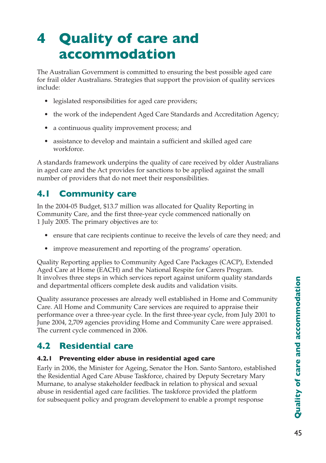# **4 Quality of care and accommodation**

The Australian Government is committed to ensuring the best possible aged care for frail older Australians. Strategies that support the provision of quality services include:

- legislated responsibilities for aged care providers;
- the work of the independent Aged Care Standards and Accreditation Agency;
- a continuous quality improvement process; and
- assistance to develop and maintain a sufficient and skilled aged care workforce.

A standards framework underpins the quality of care received by older Australians in aged care and the Act provides for sanctions to be applied against the small number of providers that do not meet their responsibilities.

## **4.1 Community care**

In the 2004-05 Budget, \$13.7 million was allocated for Quality Reporting in Community Care, and the first three-year cycle commenced nationally on 1 July 2005. The primary objectives are to:

- ensure that care recipients continue to receive the levels of care they need; and
- improve measurement and reporting of the programs' operation.

Quality Reporting applies to Community Aged Care Packages (CACP), Extended Aged Care at Home (EACH) and the National Respite for Carers Program. It involves three steps in which services report against uniform quality standards and departmental officers complete desk audits and validation visits.

Quality assurance processes are already well established in Home and Community Care. All Home and Community Care services are required to appraise their performance over a three-year cycle. In the first three-year cycle, from July 2001 to June 2004, 2,709 agencies providing Home and Community Care were appraised. The current cycle commenced in 2006.

## **4.2 Residential care**

## **4.2.1 Preventing elder abuse in residential aged care**

Early in 2006, the Minister for Ageing, Senator the Hon. Santo Santoro, established the Residential Aged Care Abuse Taskforce, chaired by Deputy Secretary Mary Murnane, to analyse stakeholder feedback in relation to physical and sexual abuse in residential aged care facilities. The taskforce provided the platform for subsequent policy and program development to enable a prompt response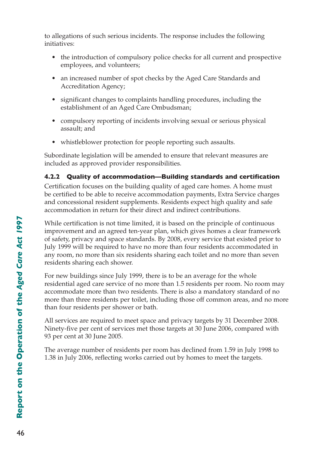to allegations of such serious incidents. The response includes the following initiatives:

- the introduction of compulsory police checks for all current and prospective employees, and volunteers;
- an increased number of spot checks by the Aged Care Standards and Accreditation Agency;
- significant changes to complaints handling procedures, including the establishment of an Aged Care Ombudsman;
- compulsory reporting of incidents involving sexual or serious physical assault; and
- whistleblower protection for people reporting such assaults.

Subordinate legislation will be amended to ensure that relevant measures are included as approved provider responsibilities.

## **4.2.2 Quality of accommodation—Building standards and certification**

Certification focuses on the building quality of aged care homes. A home must be certified to be able to receive accommodation payments, Extra Service charges and concessional resident supplements. Residents expect high quality and safe accommodation in return for their direct and indirect contributions.

While certification is not time limited, it is based on the principle of continuous improvement and an agreed ten-year plan, which gives homes a clear framework of safety, privacy and space standards. By 2008, every service that existed prior to July 1999 will be required to have no more than four residents accommodated in any room, no more than six residents sharing each toilet and no more than seven residents sharing each shower.

For new buildings since July 1999, there is to be an average for the whole residential aged care service of no more than 1.5 residents per room. No room may accommodate more than two residents. There is also a mandatory standard of no more than three residents per toilet, including those off common areas, and no more than four residents per shower or bath.

All services are required to meet space and privacy targets by 31 December 2008. Ninety-five per cent of services met those targets at 30 June 2006, compared with 93 per cent at 30 June 2005.

The average number of residents per room has declined from 1.59 in July 1998 to 1.38 in July 2006, reflecting works carried out by homes to meet the targets.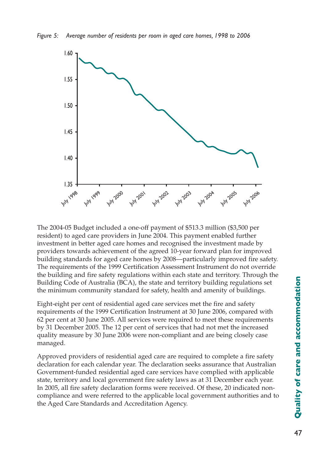*Figure 5: Average number of residents per room in aged care homes, 1998 to 2006*



The 2004-05 Budget included a one-off payment of \$513.3 million (\$3,500 per resident) to aged care providers in June 2004. This payment enabled further investment in better aged care homes and recognised the investment made by providers towards achievement of the agreed 10-year forward plan for improved building standards for aged care homes by 2008—particularly improved fire safety. The requirements of the 1999 Certification Assessment Instrument do not override the building and fire safety regulations within each state and territory. Through the Building Code of Australia (BCA), the state and territory building regulations set the minimum community standard for safety, health and amenity of buildings.

Eight-eight per cent of residential aged care services met the fire and safety requirements of the 1999 Certification Instrument at 30 June 2006, compared with 62 per cent at 30 June 2005. All services were required to meet these requirements by 31 December 2005. The 12 per cent of services that had not met the increased quality measure by 30 June 2006 were non-compliant and are being closely case managed.

Approved providers of residential aged care are required to complete a fire safety declaration for each calendar year. The declaration seeks assurance that Australian Government-funded residential aged care services have complied with applicable state, territory and local government fire safety laws as at 31 December each year. In 2005, all fire safety declaration forms were received. Of these, 20 indicated noncompliance and were referred to the applicable local government authorities and to the Aged Care Standards and Accreditation Agency.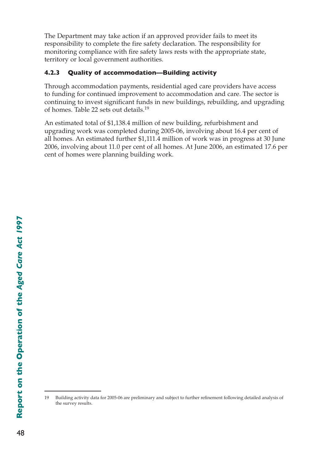The Department may take action if an approved provider fails to meet its responsibility to complete the fire safety declaration. The responsibility for monitoring compliance with fire safety laws rests with the appropriate state, territory or local government authorities.

## **4.2.3 Quality of accommodation—Building activity**

Through accommodation payments, residential aged care providers have access to funding for continued improvement to accommodation and care. The sector is continuing to invest significant funds in new buildings, rebuilding, and upgrading of homes. Table 22 sets out details.19

An estimated total of \$1,138.4 million of new building, refurbishment and upgrading work was completed during 2005-06, involving about 16.4 per cent of all homes. An estimated further \$1,111.4 million of work was in progress at 30 June 2006, involving about 11.0 per cent of all homes. At June 2006, an estimated 17.6 per cent of homes were planning building work.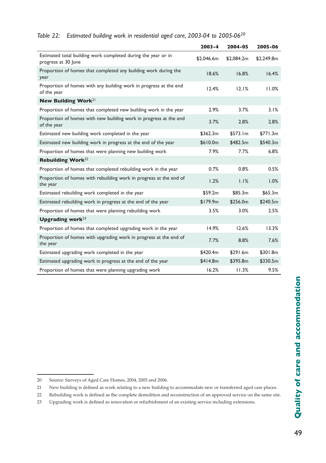|                                                                                      | $2003 - 4$ | 2004-05    | 2005-06    |
|--------------------------------------------------------------------------------------|------------|------------|------------|
| Estimated total building work completed during the year or in<br>progress at 30 June | \$2,046.6m | \$2,084.2m | \$2,249.8m |
| Proportion of homes that completed any building work during the<br>year              | 18.6%      | 16.8%      | 16.4%      |
| Proportion of homes with any building work in progress at the end<br>of the year     | 12.4%      | 12.1%      | 11.0%      |
| New Building Work <sup>21</sup>                                                      |            |            |            |
| Proportion of homes that completed new building work in the year                     | 2.9%       | 3.7%       | 3.1%       |
| Proportion of homes with new building work in progress at the end<br>of the year     | 3.7%       | 2.8%       | 2.8%       |
| Estimated new building work completed in the year                                    | \$362.3m   | \$573.1m   | \$771.3m   |
| Estimated new building work in progress at the end of the year                       | \$610.0m   | \$482.5m   | \$540.3m   |
| Proportion of homes that were planning new building work                             | 7.9%       | 7.7%       | 6.8%       |
| Rebuilding Work $^{22}$                                                              |            |            |            |
| Proportion of homes that completed rebuilding work in the year                       | 0.7%       | 0.8%       | 0.5%       |
| Proportion of homes with rebuilding work in progress at the end of<br>the year       | 1.2%       | 1.1%       | 1.0%       |
| Estimated rebuilding work completed in the year                                      | \$59.2m    | \$85.3m    | \$65.3m\$  |
| Estimated rebuilding work in progress at the end of the year                         | \$179.9m   | \$256.0m   | \$240.5m   |
| Proportion of homes that were planning rebuilding work                               | 3.5%       | 3.0%       | 2.5%       |
| Upgrading work $^{23}$                                                               |            |            |            |
| Proportion of homes that completed upgrading work in the year                        | 14.9%      | 12.6%      | 13.3%      |
| Proportion of homes with upgrading work in progress at the end of<br>the year        | 7.7%       | 8.8%       | 7.6%       |
| Estimated upgrading work completed in the year                                       | \$420.4m   | \$291.6m   | \$301.8m   |
| Estimated upgrading work in progress at the end of the year                          | \$414.8m   | \$395.8m   | \$330.5m   |
| Proportion of homes that were planning upgrading work                                | 16.2%      | 11.3%      | 9.5%       |

## *Table 22: Estimated building work in residential aged care, 2003-04 to 2005-0620*

<sup>20</sup>  Source: Surveys of Aged Care Homes, 2004, 2005 and 2006.

<sup>21</sup> New building is defined as work relating to a new building to accommodate new or transferred aged care places.

<sup>22</sup> Rebuilding work is defined as the complete demolition and reconstruction of an approved service on the same site.

<sup>23</sup>  Upgrading work is defined as renovation or refurbishment of an existing service including extensions.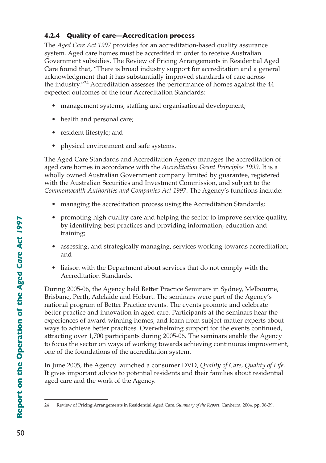## **4.2.4 Quality of care—Accreditation process**

The *Aged Care Act 1997* provides for an accreditation-based quality assurance system. Aged care homes must be accredited in order to receive Australian Government subsidies. The Review of Pricing Arrangements in Residential Aged Care found that, "There is broad industry support for accreditation and a general acknowledgment that it has substantially improved standards of care across the industry."24 Accreditation assesses the performance of homes against the 44 expected outcomes of the four Accreditation Standards:

- management systems, staffing and organisational development;
- health and personal care;
- resident lifestyle; and
- physical environment and safe systems.

The Aged Care Standards and Accreditation Agency manages the accreditation of aged care homes in accordance with the *Accreditation Grant Principles 1999*. It is a wholly owned Australian Government company limited by guarantee, registered with the Australian Securities and Investment Commission, and subject to the *Commonwealth Authorities and Companies Act 1997*. The Agency's functions include:

- managing the accreditation process using the Accreditation Standards;
- promoting high quality care and helping the sector to improve service quality, by identifying best practices and providing information, education and training;
- assessing, and strategically managing, services working towards accreditation; and
- liaison with the Department about services that do not comply with the Accreditation Standards.

During 2005-06, the Agency held Better Practice Seminars in Sydney, Melbourne, Brisbane, Perth, Adelaide and Hobart. The seminars were part of the Agency's national program of Better Practice events. The events promote and celebrate better practice and innovation in aged care. Participants at the seminars hear the experiences of award-winning homes, and learn from subject-matter experts about ways to achieve better practices. Overwhelming support for the events continued, attracting over 1,700 participants during 2005-06. The seminars enable the Agency to focus the sector on ways of working towards achieving continuous improvement, one of the foundations of the accreditation system.

In June 2005, the Agency launched a consumer DVD, *Quality of Care, Quality of Life*. It gives important advice to potential residents and their families about residential aged care and the work of the Agency.

<sup>24</sup>  Review of Pricing Arrangements in Residential Aged Care. S*ummary of the Report*. Canberra, 2004, pp. 38-39.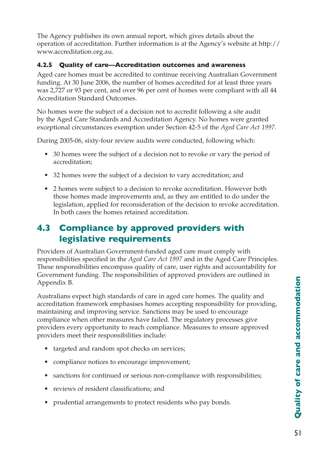The Agency publishes its own annual report, which gives details about the operation of accreditation. Further information is at the Agency's website at http:// www.accreditation.org.au.

## **4.2.5 Quality of care—Accreditation outcomes and awareness**

Aged care homes must be accredited to continue receiving Australian Government funding. At 30 June 2006, the number of homes accredited for at least three years was 2,727 or 93 per cent, and over 96 per cent of homes were compliant with all 44 Accreditation Standard Outcomes.

No homes were the subject of a decision not to accredit following a site audit by the Aged Care Standards and Accreditation Agency. No homes were granted exceptional circumstances exemption under Section 42-5 of the *Aged Care Act 1997*.

During 2005-06, sixty-four review audits were conducted, following which:

- 30 homes were the subject of a decision not to revoke or vary the period of accreditation;
- 32 homes were the subject of a decision to vary accreditation; and
- 2 homes were subject to a decision to revoke accreditation. However both those homes made improvements and, as they are entitled to do under the legislation, applied for reconsideration of the decision to revoke accreditation. In both cases the homes retained accreditation.

# **4.3 Compliance by approved providers with legislative requirements**

Providers of Australian Government-funded aged care must comply with responsibilities specified in the *Aged Care Act 1997* and in the Aged Care Principles. These responsibilities encompass quality of care, user rights and accountability for Government funding. The responsibilities of approved providers are outlined in Appendix B.

Australians expect high standards of care in aged care homes. The quality and accreditation framework emphasises homes accepting responsibility for providing, maintaining and improving service. Sanctions may be used to encourage compliance when other measures have failed. The regulatory processes give providers every opportunity to reach compliance. Measures to ensure approved providers meet their responsibilities include:

- targeted and random spot checks on services;
- compliance notices to encourage improvement;
- sanctions for continued or serious non-compliance with responsibilities;
- reviews of resident classifications; and
- prudential arrangements to protect residents who pay bonds.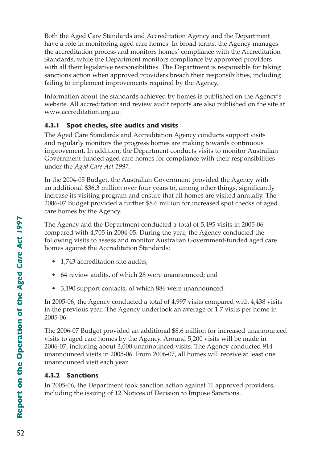Both the Aged Care Standards and Accreditation Agency and the Department have a role in monitoring aged care homes. In broad terms, the Agency manages the accreditation process and monitors homes' compliance with the Accreditation Standards, while the Department monitors compliance by approved providers with all their legislative responsibilities. The Department is responsible for taking sanctions action when approved providers breach their responsibilities, including failing to implement improvements required by the Agency.

Information about the standards achieved by homes is published on the Agency's website. All accreditation and review audit reports are also published on the site at www.accreditation.org.au.

## **4.3.1 Spot checks, site audits and visits**

The Aged Care Standards and Accreditation Agency conducts support visits and regularly monitors the progress homes are making towards continuous improvement. In addition, the Department conducts visits to monitor Australian Government-funded aged care homes for compliance with their responsibilities under the *Aged Care Act 1997*.

In the 2004-05 Budget, the Australian Government provided the Agency with an additional \$36.3 million over four years to, among other things, significantly increase its visiting program and ensure that all homes are visited annually. The 2006-07 Budget provided a further \$8.6 million for increased spot checks of aged care homes by the Agency.

The Agency and the Department conducted a total of 5,495 visits in 2005-06 compared with 4,705 in 2004-05. During the year, the Agency conducted the following visits to assess and monitor Australian Government-funded aged care homes against the Accreditation Standards:

- 1,743 accreditation site audits;
- 64 review audits, of which 28 were unannounced; and
- 3,190 support contacts, of which 886 were unannounced.

In 2005-06, the Agency conducted a total of 4,997 visits compared with 4,438 visits in the previous year. The Agency undertook an average of 1.7 visits per home in 2005-06.

The 2006-07 Budget provided an additional \$8.6 million for increased unannounced visits to aged care homes by the Agency. Around 5,200 visits will be made in 2006-07, including about 3,000 unannounced visits. The Agency conducted 914 unannounced visits in 2005-06. From 2006-07, all homes will receive at least one unannounced visit each year.

## **4.3.2 Sanctions**

In 2005-06, the Department took sanction action against 11 approved providers, including the issuing of 12 Notices of Decision to Impose Sanctions.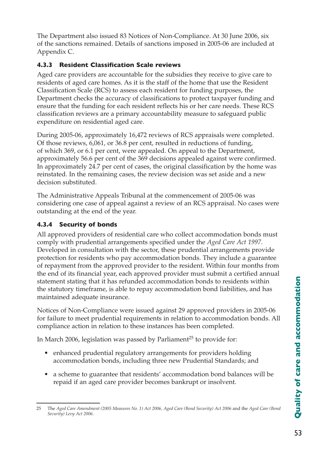The Department also issued 83 Notices of Non-Compliance. At 30 June 2006, six of the sanctions remained. Details of sanctions imposed in 2005-06 are included at Appendix C.

## **4.3.3 Resident Classification Scale reviews**

Aged care providers are accountable for the subsidies they receive to give care to residents of aged care homes. As it is the staff of the home that use the Resident Classification Scale (RCS) to assess each resident for funding purposes, the Department checks the accuracy of classifications to protect taxpayer funding and ensure that the funding for each resident reflects his or her care needs. These RCS classification reviews are a primary accountability measure to safeguard public expenditure on residential aged care.

During 2005-06, approximately 16,472 reviews of RCS appraisals were completed. Of those reviews, 6,061, or 36.8 per cent, resulted in reductions of funding, of which 369, or 6.1 per cent, were appealed. On appeal to the Department, approximately 56.6 per cent of the 369 decisions appealed against were confirmed. In approximately 24.7 per cent of cases, the original classification by the home was reinstated. In the remaining cases, the review decision was set aside and a new decision substituted.

The Administrative Appeals Tribunal at the commencement of 2005-06 was considering one case of appeal against a review of an RCS appraisal. No cases were outstanding at the end of the year.

## **4.3.4 Security of bonds**

All approved providers of residential care who collect accommodation bonds must comply with prudential arrangements specified under the *Aged Care Act 1997*. Developed in consultation with the sector, these prudential arrangements provide protection for residents who pay accommodation bonds. They include a guarantee of repayment from the approved provider to the resident. Within four months from the end of its financial year, each approved provider must submit a certified annual statement stating that it has refunded accommodation bonds to residents within the statutory timeframe, is able to repay accommodation bond liabilities, and has maintained adequate insurance.

Notices of Non-Compliance were issued against 29 approved providers in 2005-06 for failure to meet prudential requirements in relation to accommodation bonds. All compliance action in relation to these instances has been completed.

In March 2006, legislation was passed by Parliament<sup>25</sup> to provide for:

- enhanced prudential regulatory arrangements for providers holding accommodation bonds, including three new Prudential Standards; and
- a scheme to guarantee that residents' accommodation bond balances will be repaid if an aged care provider becomes bankrupt or insolvent.

<sup>25</sup> The *Aged Care Amendment (2005 Measures No. 1) Act 2006, Aged Care (Bond Security) Act 2006* and the *Aged Care (Bond Security) Levy Act 2006*.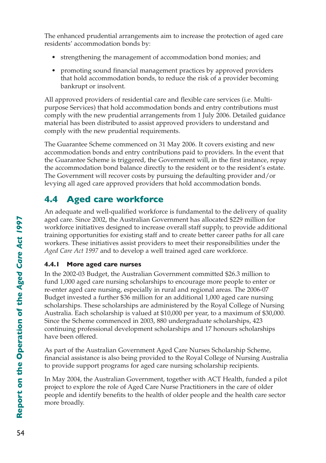The enhanced prudential arrangements aim to increase the protection of aged care residents' accommodation bonds by:

- strengthening the management of accommodation bond monies; and
- promoting sound financial management practices by approved providers that hold accommodation bonds, to reduce the risk of a provider becoming bankrupt or insolvent.

All approved providers of residential care and flexible care services (i.e. Multipurpose Services) that hold accommodation bonds and entry contributions must comply with the new prudential arrangements from 1 July 2006. Detailed guidance material has been distributed to assist approved providers to understand and comply with the new prudential requirements.

The Guarantee Scheme commenced on 31 May 2006. It covers existing and new accommodation bonds and entry contributions paid to providers. In the event that the Guarantee Scheme is triggered, the Government will, in the first instance, repay the accommodation bond balance directly to the resident or to the resident's estate. The Government will recover costs by pursuing the defaulting provider and/or levying all aged care approved providers that hold accommodation bonds.

# **4.4 Aged care workforce**

An adequate and well-qualified workforce is fundamental to the delivery of quality aged care. Since 2002, the Australian Government has allocated \$229 million for workforce initiatives designed to increase overall staff supply, to provide additional training opportunities for existing staff and to create better career paths for all care workers. These initiatives assist providers to meet their responsibilities under the *Aged Care Act 1997* and to develop a well trained aged care workforce.

## **4.4.1 More aged care nurses**

In the 2002-03 Budget, the Australian Government committed \$26.3 million to fund 1,000 aged care nursing scholarships to encourage more people to enter or re-enter aged care nursing, especially in rural and regional areas. The 2006-07 Budget invested a further \$36 million for an additional 1,000 aged care nursing scholarships. These scholarships are administered by the Royal College of Nursing Australia. Each scholarship is valued at \$10,000 per year, to a maximum of \$30,000. Since the Scheme commenced in 2003, 880 undergraduate scholarships, 423 continuing professional development scholarships and 17 honours scholarships have been offered.

As part of the Australian Government Aged Care Nurses Scholarship Scheme, financial assistance is also being provided to the Royal College of Nursing Australia to provide support programs for aged care nursing scholarship recipients.

In May 2004, the Australian Government, together with ACT Health, funded a pilot project to explore the role of Aged Care Nurse Practitioners in the care of older people and identify benefits to the health of older people and the health care sector more broadly.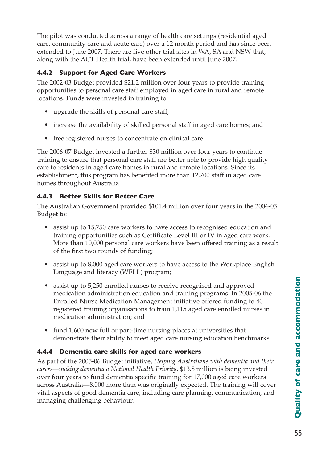The pilot was conducted across a range of health care settings (residential aged care, community care and acute care) over a 12 month period and has since been extended to June 2007. There are five other trial sites in WA, SA and NSW that, along with the ACT Health trial, have been extended until June 2007.

## **4.4.2 Support for Aged Care Workers**

The 2002-03 Budget provided \$21.2 million over four years to provide training opportunities to personal care staff employed in aged care in rural and remote locations. Funds were invested in training to:

- upgrade the skills of personal care staff;
- increase the availability of skilled personal staff in aged care homes; and
- free registered nurses to concentrate on clinical care.

The 2006-07 Budget invested a further \$30 million over four years to continue training to ensure that personal care staff are better able to provide high quality care to residents in aged care homes in rural and remote locations. Since its establishment, this program has benefited more than 12,700 staff in aged care homes throughout Australia.

## **4.4.3 Better Skills for Better Care**

The Australian Government provided \$101.4 million over four years in the 2004-05 Budget to:

- assist up to 15,750 care workers to have access to recognised education and training opportunities such as Certificate Level III or IV in aged care work. More than 10,000 personal care workers have been offered training as a result of the first two rounds of funding;
- assist up to 8,000 aged care workers to have access to the Workplace English Language and literacy (WELL) program;
- assist up to 5,250 enrolled nurses to receive recognised and approved medication administration education and training programs. In 2005-06 the Enrolled Nurse Medication Management initiative offered funding to 40 registered training organisations to train 1,115 aged care enrolled nurses in medication administration; and
- fund 1,600 new full or part-time nursing places at universities that demonstrate their ability to meet aged care nursing education benchmarks.

## **4.4.4 Dementia care skills for aged care workers**

As part of the 2005-06 Budget initiative, *Helping Australians with dementia and their carers—making dementia a National Health Priority*, \$13.8 million is being invested over four years to fund dementia specific training for 17,000 aged care workers across Australia—8,000 more than was originally expected. The training will cover vital aspects of good dementia care, including care planning, communication, and managing challenging behaviour.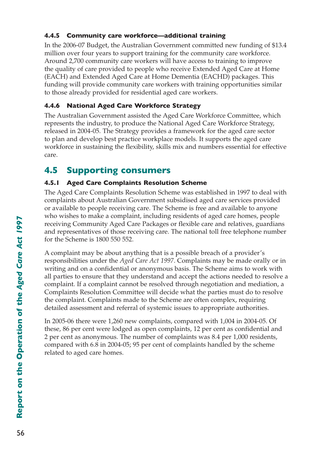## **4.4.5 Community care workforce—additional training**

In the 2006-07 Budget, the Australian Government committed new funding of \$13.4 million over four years to support training for the community care workforce. Around 2,700 community care workers will have access to training to improve the quality of care provided to people who receive Extended Aged Care at Home (EACH) and Extended Aged Care at Home Dementia (EACHD) packages. This funding will provide community care workers with training opportunities similar to those already provided for residential aged care workers.

## **4.4.6 National Aged Care Workforce Strategy**

The Australian Government assisted the Aged Care Workforce Committee, which represents the industry, to produce the National Aged Care Workforce Strategy, released in 2004-05. The Strategy provides a framework for the aged care sector to plan and develop best practice workplace models. It supports the aged care workforce in sustaining the flexibility, skills mix and numbers essential for effective care.

# **4.5 Supporting consumers**

## **4.5.1 Aged Care Complaints Resolution Scheme**

The Aged Care Complaints Resolution Scheme was established in 1997 to deal with complaints about Australian Government subsidised aged care services provided or available to people receiving care. The Scheme is free and available to anyone who wishes to make a complaint, including residents of aged care homes, people receiving Community Aged Care Packages or flexible care and relatives, guardians and representatives of those receiving care. The national toll free telephone number for the Scheme is 1800 550 552.

A complaint may be about anything that is a possible breach of a provider's responsibilities under the *Aged Care Act 1997*. Complaints may be made orally or in writing and on a confidential or anonymous basis. The Scheme aims to work with all parties to ensure that they understand and accept the actions needed to resolve a complaint. If a complaint cannot be resolved through negotiation and mediation, a Complaints Resolution Committee will decide what the parties must do to resolve the complaint. Complaints made to the Scheme are often complex, requiring detailed assessment and referral of systemic issues to appropriate authorities.

In 2005-06 there were 1,260 new complaints, compared with 1,004 in 2004-05. Of these, 86 per cent were lodged as open complaints, 12 per cent as confidential and 2 per cent as anonymous. The number of complaints was 8.4 per 1,000 residents, compared with 6.8 in 2004-05; 95 per cent of complaints handled by the scheme related to aged care homes.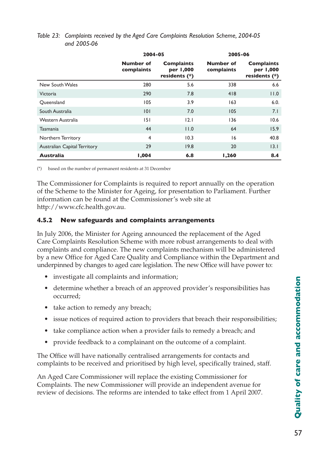|                                     | 2004-05                        |                                                 | 2005-06                        |                                                 |
|-------------------------------------|--------------------------------|-------------------------------------------------|--------------------------------|-------------------------------------------------|
|                                     | <b>Number of</b><br>complaints | <b>Complaints</b><br>per 1,000<br>residents (*) | <b>Number of</b><br>complaints | <b>Complaints</b><br>per 1,000<br>residents (*) |
| New South Wales                     | 280                            | 5.6                                             | 338                            | 6.6                                             |
| <b>Victoria</b>                     | 290                            | 7.8                                             | 418                            | 11.0                                            |
| Oueensland                          | 105                            | 3.9                                             | 163                            | 6.0.                                            |
| South Australia                     | 0                              | 7.0                                             | 105                            | 7.1                                             |
| Western Australia                   | 5                              | 2.1                                             | 136                            | 10.6                                            |
| <b>Tasmania</b>                     | 44                             | 11.0                                            | 64                             | 15.9                                            |
| Northern Territory                  | $\overline{4}$                 | 10.3                                            | 16                             | 40.8                                            |
| <b>Australian Capital Territory</b> | 29                             | 19.8                                            | 20                             | 3.1                                             |
| <b>Australia</b>                    | 1,004                          | 6.8                                             | 1,260                          | 8.4                                             |

#### *Table 23: Complaints received by the Aged Care Complaints Resolution Scheme, 2004-05 and 2005-06*

(\*) based on the number of permanent residents at 31 December

The Commissioner for Complaints is required to report annually on the operation of the Scheme to the Minister for Ageing, for presentation to Parliament. Further information can be found at the Commissioner's web site at http://www.cfc.health.gov.au.

#### **4.5.2 New safeguards and complaints arrangements**

In July 2006, the Minister for Ageing announced the replacement of the Aged Care Complaints Resolution Scheme with more robust arrangements to deal with complaints and compliance. The new complaints mechanism will be administered by a new Office for Aged Care Quality and Compliance within the Department and underpinned by changes to aged care legislation. The new Office will have power to:

- investigate all complaints and information;
- determine whether a breach of an approved provider's responsibilities has occurred;
- take action to remedy any breach;
- issue notices of required action to providers that breach their responsibilities;
- take compliance action when a provider fails to remedy a breach; and
- provide feedback to a complainant on the outcome of a complaint.

The Office will have nationally centralised arrangements for contacts and complaints to be received and prioritised by high level, specifically trained, staff.

An Aged Care Commissioner will replace the existing Commissioner for Complaints. The new Commissioner will provide an independent avenue for review of decisions. The reforms are intended to take effect from 1 April 2007.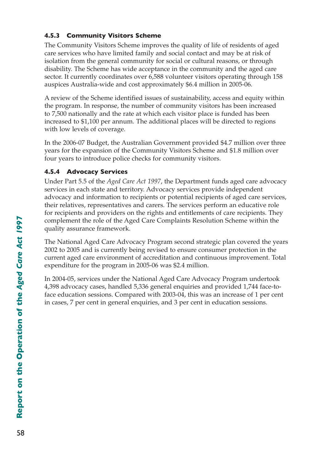## **4.5.3 Community Visitors Scheme**

The Community Visitors Scheme improves the quality of life of residents of aged care services who have limited family and social contact and may be at risk of isolation from the general community for social or cultural reasons, or through disability. The Scheme has wide acceptance in the community and the aged care sector. It currently coordinates over 6,588 volunteer visitors operating through 158 auspices Australia-wide and cost approximately \$6.4 million in 2005-06.

A review of the Scheme identified issues of sustainability, access and equity within the program. In response, the number of community visitors has been increased to 7,500 nationally and the rate at which each visitor place is funded has been increased to \$1,100 per annum. The additional places will be directed to regions with low levels of coverage.

In the 2006-07 Budget, the Australian Government provided \$4.7 million over three years for the expansion of the Community Visitors Scheme and \$1.8 million over four years to introduce police checks for community visitors.

## **4.5.4 Advocacy Services**

Under Part 5.5 of the *Aged Care Act 1997*, the Department funds aged care advocacy services in each state and territory. Advocacy services provide independent advocacy and information to recipients or potential recipients of aged care services, their relatives, representatives and carers. The services perform an educative role for recipients and providers on the rights and entitlements of care recipients. They complement the role of the Aged Care Complaints Resolution Scheme within the quality assurance framework.

The National Aged Care Advocacy Program second strategic plan covered the years 2002 to 2005 and is currently being revised to ensure consumer protection in the current aged care environment of accreditation and continuous improvement. Total expenditure for the program in 2005-06 was \$2.4 million.

In 2004-05, services under the National Aged Care Advocacy Program undertook 4,398 advocacy cases, handled 5,336 general enquiries and provided 1,744 face-toface education sessions. Compared with 2003-04, this was an increase of 1 per cent in cases, 7 per cent in general enquiries, and 3 per cent in education sessions.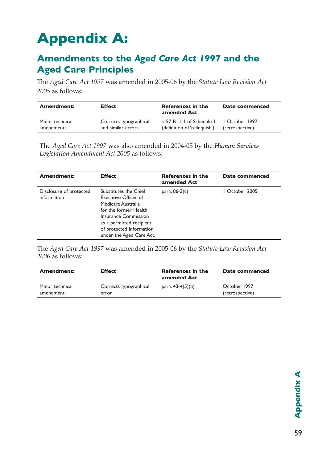# **Appendix A:**

## **Amendments to the** *Aged Care Act 1997* **and the Aged Care Principles**

The *Aged Care Act 1997* was amended in 2005-06 by the *Statute Law Revision Act 2005* as follows:

| <b>Amendment:</b> | <b>Effect</b>          | References in the<br>amended Act | Date commenced  |
|-------------------|------------------------|----------------------------------|-----------------|
| Minor technical   | Corrects typographical | s. 57-B cl. L of Schedule L      | 1 October 1997  |
| amendments        | and similar errors     | (definition of 'relinguish')     | (retrospective) |

The *Aged Care Act 1997* was also amended in 2004-05 by the *Human Services Legislation Amendment Act 2005* as follows:

| <b>Amendment:</b>                      | <b>Effect</b>                                                                                                                                                                                            | <b>References in the</b><br>amended Act | Date commenced |
|----------------------------------------|----------------------------------------------------------------------------------------------------------------------------------------------------------------------------------------------------------|-----------------------------------------|----------------|
| Disclosure of protected<br>information | Substitutes the Chief<br>Executive Officer of<br>Medicare Australia<br>for the former Health<br>Insurance Commission<br>as a permitted recipient<br>of protected information<br>under the Aged Care Act. | para. $86-3(c)$                         | I October 2005 |

The *Aged Care Act 1997* was amended in 2005-06 by the *Statute Law Revision Act 2006* as follows:

| Amendment:      | <b>Effect</b>          | References in the<br>amended Act | Date commenced  |
|-----------------|------------------------|----------------------------------|-----------------|
| Minor technical | Corrects typographical | para. $43-4(5)(b)$               | October 1997    |
| amendment       | error                  |                                  | (retrospective) |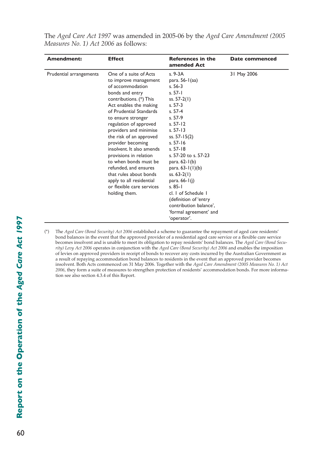| The Aged Care Act 1997 was amended in 2005-06 by the Aged Care Amendment (2005) |  |
|---------------------------------------------------------------------------------|--|
| <i>Measures No. 1) Act 2006 as follows:</i>                                     |  |

| <b>Amendment:</b>       | <b>Effect</b>                                                                                                                                                                                                                                                                                                                                                                                                                                                                                                 | <b>References in the</b><br>amended Act                                                                                                                                                                                                                                                                                                                                                                                            | Date commenced |
|-------------------------|---------------------------------------------------------------------------------------------------------------------------------------------------------------------------------------------------------------------------------------------------------------------------------------------------------------------------------------------------------------------------------------------------------------------------------------------------------------------------------------------------------------|------------------------------------------------------------------------------------------------------------------------------------------------------------------------------------------------------------------------------------------------------------------------------------------------------------------------------------------------------------------------------------------------------------------------------------|----------------|
| Prudential arrangements | One of a suite of Acts<br>to improve management<br>of accommodation<br>bonds and entry<br>contributions. (*) This<br>Act enables the making<br>of Prudential Standards<br>to ensure stronger<br>regulation of approved<br>providers and minimise<br>the risk of an approved<br>provider becoming<br>insolvent. It also amends<br>provisions in relation<br>to when bonds must be<br>refunded, and ensures<br>that rules about bonds<br>apply to all residential<br>or flexible care services<br>holding them. | s. 9-3A<br>para. $56-1$ (aa)<br>$s.56-3$<br>$s. 57 - 1$<br>ss. $57-2(1)$<br>$s. 57-3$<br>s. 57-4<br>s. 57-9<br>s. $57 - 12$<br>$s. 57 - 13$<br>ss. $57 - 15(2)$<br>$s.57-16$<br>$s.57-18$<br>s. 57-20 to s. 57-23<br>para. $62-1(b)$<br>para. $63-1(1)(b)$<br>ss. $63-2(1)$<br>para. $66 - 1(i)$<br>$s. 85 - 1$<br>cl. I of Schedule I<br>(definition of 'entry<br>contribution balance',<br>'formal agreement' and<br>'operator'. | 31 May 2006    |

(\*) The *Aged Care (Bond Security) Act 2006* established a scheme to guarantee the repayment of aged care residents' bond balances in the event that the approved provider of a residential aged care service or a flexible care service becomes insolvent and is unable to meet its obligation to repay residents' bond balances. The *Aged Care (Bond Security) Levy Act 2006* operates in conjunction with the *Aged Care (Bond Security) Act 2006* and enables the imposition of levies on approved providers in receipt of bonds to recover any costs incurred by the Australian Government as a result of repaying accommodation bond balances to residents in the event that an approved provider becomes insolvent. Both Acts commenced on 31 May 2006. Together with the *Aged Care Amendment (2005 Measures No. 1) Act 2006*, they form a suite of measures to strengthen protection of residents' accommodation bonds. For more information see also section 4.3.4 of this Report.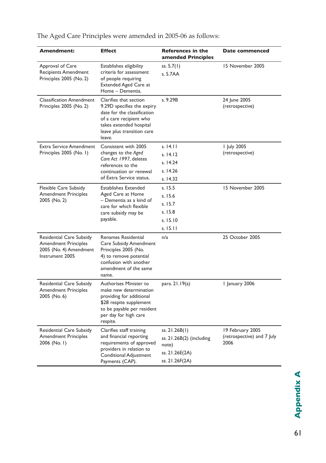| Amendment:                                                                                           | <b>Effect</b>                                                                                                                                                                     | <b>References in the</b><br>amended Principles                                         | <b>Date commenced</b>                                  |
|------------------------------------------------------------------------------------------------------|-----------------------------------------------------------------------------------------------------------------------------------------------------------------------------------|----------------------------------------------------------------------------------------|--------------------------------------------------------|
| Approval of Care<br><b>Recipients Amendment</b><br>Principles 2005 (No. 2)                           | Establishes eligibility<br>criteria for assessment<br>of people requiring<br><b>Extended Aged Care at</b><br>Home - Dementia.                                                     | ss. $5.7(1)$<br>s. 5.7AA                                                               | 15 November 2005                                       |
| <b>Classification Amendment</b><br>Principles 2005 (No. 2)                                           | Clarifies that section<br>9.29D specifies the expiry<br>date for the classification<br>of a care recipient who<br>takes extended hospital<br>leave plus transition care<br>leave. | s. 9.29B                                                                               | 24 June 2005<br>(retrospective)                        |
| <b>Extra Service Amendment</b><br>Principles 2005 (No. I)                                            | Consistent with 2005<br>changes to the Aged<br>Care Act 1997, deletes<br>references to the<br>continuation or renewal<br>of Extra Service status.                                 | s. 14.11<br>s. 14.12<br>s. 14.24<br>s. 14.26<br>s. 14.32                               | I July 2005<br>(retrospective)                         |
| Flexible Care Subsidy<br><b>Amendment Principles</b><br>2005 (No. 2)                                 | <b>Establishes Extended</b><br>Aged Care at Home<br>- Dementia as a kind of<br>care for which flexible<br>care subsidy may be<br>payable.                                         | s. 15.5<br>s.15.6<br>s. 15.7<br>s.15.8<br>s. 15.10<br>s. 15.11                         | 15 November 2005                                       |
| Residential Care Subsidy<br><b>Amendment Principles</b><br>2005 (No. 4) Amendment<br>Instrument 2005 | Renames Residential<br>Care Subsidy Amendment<br>Principles 2005 (No.<br>4) to remove potential<br>confusion with another<br>amendment of the same<br>name.                       | n/a                                                                                    | 25 October 2005                                        |
| Residential Care Subsidy<br><b>Amendment Principles</b><br>2005 (No. 6)                              | Authorises Minister to<br>make new determination<br>providing for additional<br>\$28 respite supplement<br>to be payable per resident<br>per day for high care<br>respite.        | para. 21.19(a)                                                                         | I January 2006                                         |
| Residential Care Subsidy<br><b>Amendment Principles</b><br>2006 (No. I)                              | Clarifies staff training<br>and financial reporting<br>requirements of approved<br>providers in relation to<br><b>Conditional Adjustment</b><br>Payments (CAP).                   | ss. 21.26B(1)<br>ss. 21.26B(2) (including<br>note)<br>ss. 21.26E(2A)<br>ss. 21.26F(2A) | 19 February 2005<br>(retrospective) and 7 July<br>2006 |

The Aged Care Principles were amended in 2005-06 as follows: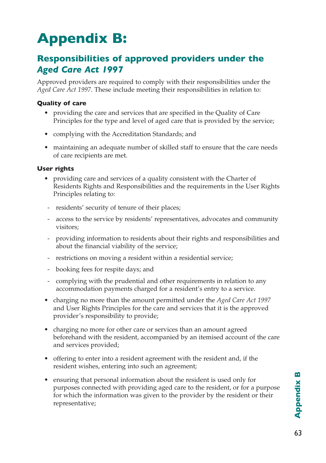# **Appendix B:**

# **Responsibilities of approved providers under the**  *Aged Care Act 1997*

Approved providers are required to comply with their responsibilities under the *Aged Care Act 1997*. These include meeting their responsibilities in relation to:

### **Quality of care**

- providing the care and services that are specified in the Quality of Care Principles for the type and level of aged care that is provided by the service;
- complying with the Accreditation Standards; and
- maintaining an adequate number of skilled staff to ensure that the care needs of care recipients are met.

## **User rights**

- providing care and services of a quality consistent with the Charter of Residents Rights and Responsibilities and the requirements in the User Rights Principles relating to:
- residents' security of tenure of their places;
- access to the service by residents' representatives, advocates and community visitors;
- providing information to residents about their rights and responsibilities and about the financial viability of the service;
- restrictions on moving a resident within a residential service;
- booking fees for respite days; and
- complying with the prudential and other requirements in relation to any accommodation payments charged for a resident's entry to a service.
- charging no more than the amount permitted under the *Aged Care Act 1997* and User Rights Principles for the care and services that it is the approved provider's responsibility to provide;
- charging no more for other care or services than an amount agreed beforehand with the resident, accompanied by an itemised account of the care and services provided;
- offering to enter into a resident agreement with the resident and, if the resident wishes, entering into such an agreement;
- ensuring that personal information about the resident is used only for purposes connected with providing aged care to the resident, or for a purpose for which the information was given to the provider by the resident or their representative;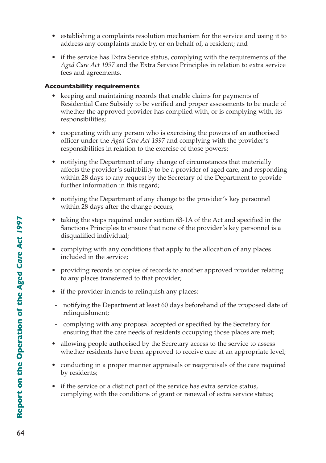- establishing a complaints resolution mechanism for the service and using it to address any complaints made by, or on behalf of, a resident; and
- if the service has Extra Service status, complying with the requirements of the *Aged Care Act 1997* and the Extra Service Principles in relation to extra service fees and agreements.

#### **Accountability requirements**

- keeping and maintaining records that enable claims for payments of Residential Care Subsidy to be verified and proper assessments to be made of whether the approved provider has complied with, or is complying with, its responsibilities;
- cooperating with any person who is exercising the powers of an authorised officer under the *Aged Care Act 1997* and complying with the provider's responsibilities in relation to the exercise of those powers;
- notifying the Department of any change of circumstances that materially affects the provider's suitability to be a provider of aged care, and responding within 28 days to any request by the Secretary of the Department to provide further information in this regard;
- notifying the Department of any change to the provider's key personnel within 28 days after the change occurs;
- taking the steps required under section 63-1A of the Act and specified in the Sanctions Principles to ensure that none of the provider's key personnel is a disqualified individual;
- complying with any conditions that apply to the allocation of any places included in the service;
- providing records or copies of records to another approved provider relating to any places transferred to that provider;
- if the provider intends to relinquish any places:
- notifying the Department at least 60 days beforehand of the proposed date of relinquishment;
- complying with any proposal accepted or specified by the Secretary for ensuring that the care needs of residents occupying those places are met;
- allowing people authorised by the Secretary access to the service to assess whether residents have been approved to receive care at an appropriate level;
- conducting in a proper manner appraisals or reappraisals of the care required by residents;
- if the service or a distinct part of the service has extra service status, complying with the conditions of grant or renewal of extra service status;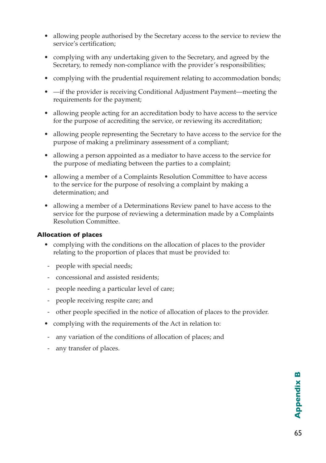- allowing people authorised by the Secretary access to the service to review the service's certification;
- complying with any undertaking given to the Secretary, and agreed by the Secretary, to remedy non-compliance with the provider's responsibilities;
- complying with the prudential requirement relating to accommodation bonds;
- —if the provider is receiving Conditional Adjustment Payment—meeting the requirements for the payment;
- allowing people acting for an accreditation body to have access to the service for the purpose of accrediting the service, or reviewing its accreditation;
- allowing people representing the Secretary to have access to the service for the purpose of making a preliminary assessment of a compliant;
- allowing a person appointed as a mediator to have access to the service for the purpose of mediating between the parties to a complaint;
- allowing a member of a Complaints Resolution Committee to have access to the service for the purpose of resolving a complaint by making a determination; and
- allowing a member of a Determinations Review panel to have access to the service for the purpose of reviewing a determination made by a Complaints Resolution Committee.

### **Allocation of places**

- complying with the conditions on the allocation of places to the provider relating to the proportion of places that must be provided to:
- people with special needs;
- concessional and assisted residents;
- people needing a particular level of care;
- people receiving respite care; and
- other people specified in the notice of allocation of places to the provider.
- complying with the requirements of the Act in relation to:
- any variation of the conditions of allocation of places; and
- any transfer of places.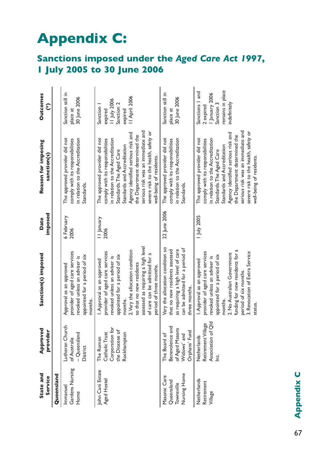# **Appendix C:**

# **Sanctions imposed under the** *Aged Care Act 1997***, 1 July 2005 to 30 June 2006**

| State and<br>Service                                     | Approved<br>provider                                                              | Sanction(s) imposed                                                                                                                                                                                                                                                                                        | imposed<br>Date    | Reason for imposing<br>sanction(s)                                                                                                                                                                                                                                                                                                               | <b>Outcomes</b><br>$\widehat{\mathfrak{c}}$                                                   |
|----------------------------------------------------------|-----------------------------------------------------------------------------------|------------------------------------------------------------------------------------------------------------------------------------------------------------------------------------------------------------------------------------------------------------------------------------------------------------|--------------------|--------------------------------------------------------------------------------------------------------------------------------------------------------------------------------------------------------------------------------------------------------------------------------------------------------------------------------------------------|-----------------------------------------------------------------------------------------------|
| Queensland                                               |                                                                                   |                                                                                                                                                                                                                                                                                                            |                    |                                                                                                                                                                                                                                                                                                                                                  |                                                                                               |
| Gardens Nursing<br>Immanuel<br>Home                      | Lutheran Church<br>- Queensland<br>of Australia<br>District                       | provider of aged care services<br>appointed for a period of six<br>revoked unless an adviser is<br>Approval as an approved<br>months.                                                                                                                                                                      | 6 February<br>2006 | The approved provider did not<br>in relation to the Accreditation<br>comply with its responsibilities<br>Standards.                                                                                                                                                                                                                              | Sanction still in<br>30 June 2006<br>place at                                                 |
| John Cani Estate<br>Aged Hostel                          | Corporation for<br>the Diocese of<br>Catholic Trust<br>Rockhampton<br>The Roman   | assessed as requiring a high level<br>2. Vary the allocation condition<br>provider of aged care services<br>of care can be admitted for a<br>appointed for a period of six<br>revoked unless an adviser is<br>I. Approval as an approved<br>so that no new residents<br>period of three months.<br>months. | II January<br>2006 | serious risk was an immediate and<br>severe risk to the health, safety or<br>Agency identified serious risk and<br>the Department determined the<br>The approved provider did not<br>in relation to the Accreditation<br>comply with its responsibilities<br>Standards and Accreditation<br>Standards. The Aged Care<br>well-being of residents. | II April 2006<br>11 July 2006<br>Sanction 2<br>Sanction<br>expired<br>expired                 |
| Nursing Home<br>Masonic Care<br>Queensland<br>Townsville | Benevolence and<br>of Aged Masons<br>Orphans' Fund<br>Widows' and<br>The Board of | Vary the allocation condition so<br>as requiring a high level of care<br>can be admitted for a period of<br>that no new residents assessed<br>three months.                                                                                                                                                | 22 June 2006       | The approved provider did not<br>comply with its responsibilities<br>in relation to the Accreditation<br>Standards.                                                                                                                                                                                                                              | Sanction still in<br>30 June 2006<br>place at                                                 |
| Netherlands<br>Retirement<br>Village                     | Association of Qld<br>Retirement Village<br>Netherlands<br>ن<br>ا                 | funding for new residents for a<br>3. Revocation of Extra Service<br>provider of aged care services<br>2. No Australian Government<br>appointed for a period of six<br>revoked unless an adviser is<br>Approval as an approved<br>period of six months.<br>months.<br>status.                              | July 2005          | serious risk was an immediate and<br>severe risk to the health, safety or<br>Agency identified serious risk and<br>the Department determined the<br>The approved provider did not<br>in relation to the Accreditation<br>comply with its responsibilities<br>Standards and Accreditation<br>Standards. The Aged Care<br>well-being of residents. | remains in place<br>Sanctions   and<br>January 2006<br>Sanction 3<br>ndefinitely<br>2 expired |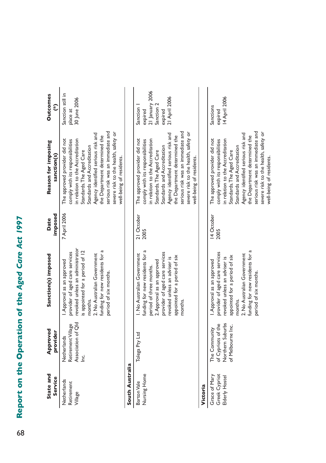# Report on the Operation of the Aged Care Act 1997 8**Report on the Operation of the** *Aged Care Act 1997* 6

| State and<br>Service                             | Approved<br>provider                                                         | Sanction(s) imposed                                                                                                                                                                                                                      | imposed<br>Date    | Reason for imposing<br>sanction(s)                                                                                                                                                                                                                                                                                                               | <b>Outcomes</b><br>$\widehat{\mathcal{E}}$                                         |
|--------------------------------------------------|------------------------------------------------------------------------------|------------------------------------------------------------------------------------------------------------------------------------------------------------------------------------------------------------------------------------------|--------------------|--------------------------------------------------------------------------------------------------------------------------------------------------------------------------------------------------------------------------------------------------------------------------------------------------------------------------------------------------|------------------------------------------------------------------------------------|
| Netherlands<br>Retirement<br>Village             | Association of Qld<br>Retirement Village<br>Netherlands<br>ن<br>ا            | revoked unless an administrator<br>funding for new residents for a<br>is appointed for a period of 12<br>provider of aged care services<br>2. No Australian Government<br>I. Approval as an approved<br>period of six months.<br>months. | 7 April 2006       | serious risk was an immediate and<br>severe risk to the health, safety or<br>Agency identified serious risk and<br>the Department determined the<br>The approved provider did not<br>comply with its responsibilities<br>in relation to the Accreditation<br>Standards and Accreditation<br>Standards. The Aged Care<br>well-being of residents. | Sanction still in<br>30 June 2006<br>place at                                      |
| South Australia                                  |                                                                              |                                                                                                                                                                                                                                          |                    |                                                                                                                                                                                                                                                                                                                                                  |                                                                                    |
| Nursing Home<br>Barton Vale                      | Tolega Pty Ltd                                                               | funding for new residents for a<br>provider of aged care services<br>I. No Australian Government<br>appointed for a period of six<br>revoked unless an adviser is<br>2. Approval as an approved<br>period of three months.<br>months     | 21 October<br>2005 | serious risk was an immediate and<br>severe risk to the health, safety or<br>Agency identified serious risk and<br>the Department determined the<br>The approved provider did not<br>in relation to the Accreditation<br>comply with its responsibilities<br>Standards and Accreditation<br>Standards. The Aged Care<br>well-being of residents. | 21 January 2006<br>21 April 2006<br>Sanction 2<br>Sanction  <br>expired<br>expired |
| Victoria                                         |                                                                              |                                                                                                                                                                                                                                          |                    |                                                                                                                                                                                                                                                                                                                                                  |                                                                                    |
| Greek Cypriot<br>Grace of Mary<br>Elderly Hostel | Northern Suburbs<br>of Cypriots of the<br>of Melbourne Inc.<br>The Community | funding for new residents for a<br>provider of aged care services<br>2. No Australian Government<br>appointed for a period of six<br>revoked unless an adviser is<br>I. Approval as an approved<br>period of six months.<br>months.      | 14 October<br>2005 | serious risk was an immediate and<br>severe risk to the health, safety or<br>Agency identified serious risk and<br>the Department determined the<br>The approved provider did not<br>in relation to the Accreditation<br>comply with its responsibilities<br>Standards and Accreditation<br>Standards. The Aged Care<br>well-being of residents. | 14 April 2006<br>Sanctions<br>expired                                              |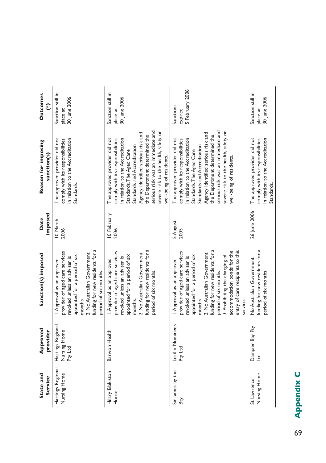| State and<br>Service              | Approved<br>provider                         | Sanction(s) imposed                                                                                                                                                                                                                                                                                                                                    | imposed<br>Date     | Reason for imposing<br>sanction(s)                                                                                                                                                                                                                                                                                                               | <b>Outcomes</b><br>$\widehat{\epsilon}$       |
|-----------------------------------|----------------------------------------------|--------------------------------------------------------------------------------------------------------------------------------------------------------------------------------------------------------------------------------------------------------------------------------------------------------------------------------------------------------|---------------------|--------------------------------------------------------------------------------------------------------------------------------------------------------------------------------------------------------------------------------------------------------------------------------------------------------------------------------------------------|-----------------------------------------------|
| Hastings Regional<br>Nursing Home | Hastings Regional<br>Nursing Home<br>Pty Ltd | funding for new residents for a<br>provider of aged care services<br>2. No Australian Government<br>appointed for a period of six<br>evoked unless an adviser is<br>I. Approval as an approved<br>period of six months.<br>months.                                                                                                                     | 10 March<br>2006    | The approved provider did not<br>in relation to the Accreditation<br>comply with its responsibilities<br>Standards.                                                                                                                                                                                                                              | Sanction still in<br>30 June 2006<br>place at |
| Hilary Blakiston<br>House         | Barwon Health                                | funding for new residents for a<br>provider of aged care services<br>2. No Australian Government<br>appointed for a period of six<br>revoked unless an adviser is<br>I. Approval as an approved<br>period of six months.<br>months.                                                                                                                    | 10 February<br>2006 | serious risk was an immediate and<br>severe risk to the health, safety or<br>Agency identified serious risk and<br>the Department determined the<br>The approved provider did not<br>n relation to the Accreditation<br>comply with its responsibilities<br>Standards and Accreditation<br>Standards. The Aged Care<br>well-being of residents.  | Sanction still in<br>30 June 2006<br>place at |
| Sir James by the<br>Bay           | Lestlin Nominees<br>Pty Ltd                  | d<br>entry of care recipients to this<br>accommodation bonds for the<br>provider of aged care services<br>2. No Australian Government<br>funding for new residents for<br>appointed for a period of six<br>3. Prohibiting the charging of<br>evoked unless an adviser is<br>I. Approval as an approved<br>period of six months.<br>months.<br>service. | 5 August<br>2005    | serious risk was an immediate and<br>severe risk to the health, safety or<br>Agency identified serious risk and<br>the Department determined the<br>The approved provider did not<br>in relation to the Accreditation<br>comply with its responsibilities<br>Standards and Accreditation<br>Standards. The Aged Care<br>well-being of residents. | 5 February 2006<br>Sanctions<br>expired       |
| Nursing Home<br>St Lawrence       | Dampier Bay Pty<br><b>Dall</b>               | funding for new residents for<br>No Australian Government<br>period of six months.                                                                                                                                                                                                                                                                     | 26 June 2006        | The approved provider did not<br>in relation to the Accreditation<br>comply with its responsibilities<br>Standards.                                                                                                                                                                                                                              | Sanction still in<br>30 June 2006<br>place at |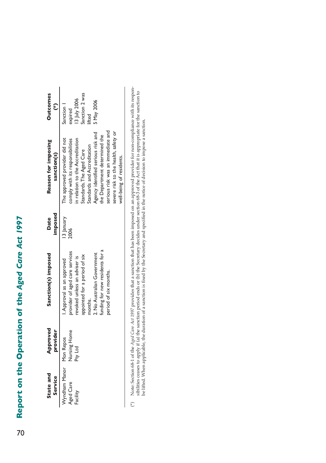# Report on the Operation of the Aged Care Act 1997 0**Report on the Operation of the** *Aged Care Act 1997* 70

| State and<br>Service    | Approved<br>provider | Sanction(s) imposed            | <b>imposed</b><br>Date | Reason for imposing<br>sanction(s)   | <b>Outcomes</b> |
|-------------------------|----------------------|--------------------------------|------------------------|--------------------------------------|-----------------|
| Wyndham Manor Mon Repos |                      | I. Approval as an approved     | 13 January             | The approved provider did not        | Sanction        |
| Aged Care               | Nursing Home         | provider of aged care services | 800                    | omply with its responsibilities      | expired         |
| acility                 | Pty Ltd              | revoked unless an adviser is   |                        | n relation to the Accreditation      | 3 July 2006     |
|                         |                      | appointed for a period of six  |                        | Standards. The Aged Care             | anction 2 was   |
|                         |                      | months.                        |                        | tandards and Accreditation           | ifted           |
|                         |                      | 2. No Australian Government    |                        | Agency identified serious risk and   | 5 May 2006      |
|                         |                      | unding for new residents for a |                        | the Department determined the        |                 |
|                         |                      | period of six months.          |                        | serious risk was an immediate and    |                 |
|                         |                      |                                |                        | severe risk to the health, safety or |                 |
|                         |                      |                                |                        | well-being of residents.             |                 |

Note: Section 68-1 of the Aged Care Act 1997 provides that a sanction that has been imposed on an approved provider for non-compliance with its responsibilities ceases to apply if (a) the sanction period ends or (b) the Se (\*) Note: Section 68-1 of the *Aged Care Act 1997* provides that a sanction that has been imposed on an approved provider for non-compliance with its responsibilities ceases to apply if (a) the sanction period ends or (b) the Secretary decides under section 68-3 of the Act that it is appropriate for the sanction to be lifted. When applicable, the duration of a sanction is fixed by the Secretary and specified in the notice of decision to impose a sanction. $\binom{*}{*}$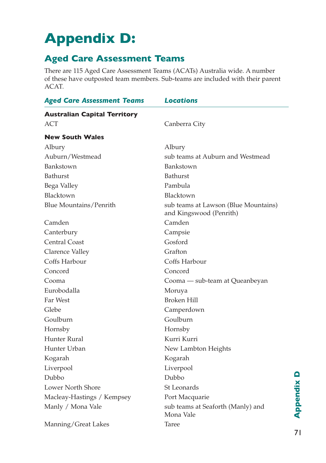# **Appendix D:**

# **Aged Care Assessment Teams**

There are 115 Aged Care Assessment Teams (ACATs) Australia wide. A number of these have outposted team members. Sub-teams are included with their parent ACAT.

| <b>Aged Care Assessment Teams</b>   | <b>Locations</b>                                                |
|-------------------------------------|-----------------------------------------------------------------|
| <b>Australian Capital Territory</b> |                                                                 |
| ACT                                 | Canberra City                                                   |
| <b>New South Wales</b>              |                                                                 |
| Albury                              | Albury                                                          |
| Auburn/Westmead                     | sub teams at Auburn and Westmead                                |
| Bankstown                           | Bankstown                                                       |
| <b>Bathurst</b>                     | <b>Bathurst</b>                                                 |
| Bega Valley                         | Pambula                                                         |
| Blacktown                           | Blacktown                                                       |
| Blue Mountains/Penrith              | sub teams at Lawson (Blue Mountains)<br>and Kingswood (Penrith) |
| Camden                              | Camden                                                          |
| Canterbury                          | Campsie                                                         |
| <b>Central Coast</b>                | Gosford                                                         |
| Clarence Valley                     | Grafton                                                         |
| Coffs Harbour                       | Coffs Harbour                                                   |
| Concord                             | Concord                                                         |
| Cooma                               | Cooma - sub-team at Queanbeyan                                  |
| Eurobodalla                         | Moruya                                                          |
| Far West                            | Broken Hill                                                     |
| Glebe                               | Camperdown                                                      |
| Goulburn                            | Goulburn                                                        |
| Hornsby                             | Hornsby                                                         |
| Hunter Rural                        | Kurri Kurri                                                     |
| Hunter Urban                        | New Lambton Heights                                             |
| Kogarah                             | Kogarah                                                         |
| Liverpool                           | Liverpool                                                       |
| Dubbo                               | Dubbo                                                           |
| Lower North Shore                   | <b>St Leonards</b>                                              |
| Macleay-Hastings / Kempsey          | Port Macquarie                                                  |
| Manly / Mona Vale                   | sub teams at Seaforth (Manly) and<br>Mona Vale                  |
| Manning/Great Lakes                 | <b>Taree</b>                                                    |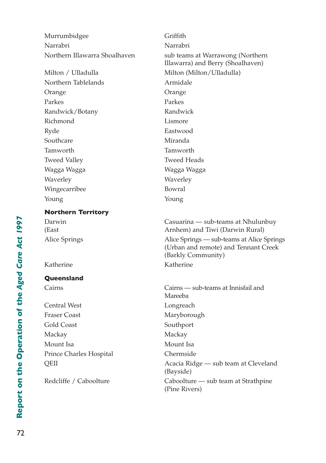Murrumbidgee Griffith Narrabri Narrabri Northern Illawarra Shoalhaven sub teams at Warrawong (Northern Illawarra) and Berry (Shoalhaven) Milton / Ulladulla Milton (Milton/Ulladulla) Northern Tablelands **Armidale** Orange Orange Parkes Parkes Parkes Randwick/Botany Randwick Richmond Lismore Ryde Eastwood Southcare Miranda Tamworth Tamworth Tweed Valley Tweed Heads Wagga Wagga Wagga Wagga Waverley **Waverley** Wingecarribee Bowral Young Young **Northern Territory** Darwin Casuarina — sub-teams at Nhulunbuy (East Arnhem) and Tiwi (Darwin Rural) Alice Springs Alice Springs — sub-teams at Alice Springs (Urban and remote) and Tennant Creek (Barkly Community) Katherine Katherine **Queensland** Cairns Cairns — sub-teams at Innisfail and Mareeba Central West Longreach Fraser Coast Maryborough Gold Coast Southport Mackay Mackay Mount Isa **Mount Isa** Prince Charles Hospital Chermside QEII Acacia Ridge — sub team at Cleveland (Bayside) Redcliffe / Caboolture Caboolture — sub team at Strathpine

(Pine Rivers)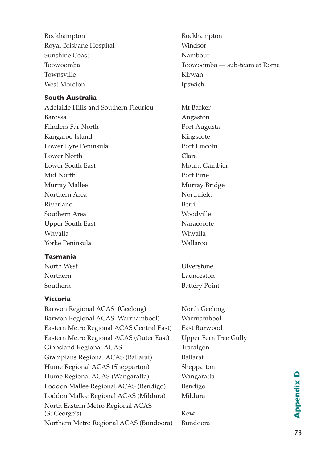Rockhampton Rockhampton Royal Brisbane Hospital Windsor Sunshine Coast Nambour Townsville **Kirwan** West Moreton Ipswich

#### **South Australia**

Adelaide Hills and Southern Fleurieu Mt Barker Barossa Angaston Flinders Far North Port Augusta Kangaroo Island Kingscote Lower Eyre Peninsula<br>
Port Lincoln Lower North Clare Lower South East Mount Gambier Mid North Port Pirie Murray Mallee Murray Bridge Northern Area Northfield Riverland Berri Southern Area Woodville Upper South East Naracoorte Whyalla Whyalla Yorke Peninsula Wallaroo

#### **Tasmania**

#### **Victoria**

| Barwon Regional ACAS (Geelong)            | North Geelong  |
|-------------------------------------------|----------------|
|                                           |                |
| Barwon Regional ACAS Warrnambool)         | Warrnambool    |
| Eastern Metro Regional ACAS Central East) | East Burwood   |
| Eastern Metro Regional ACAS (Outer East)  | Upper Fern Tre |
| Gippsland Regional ACAS                   | Traralgon      |
| Grampians Regional ACAS (Ballarat)        | Ballarat       |
| Hume Regional ACAS (Shepparton)           | Shepparton     |
| Hume Regional ACAS (Wangaratta)           | Wangaratta     |
| Loddon Mallee Regional ACAS (Bendigo)     | Bendigo        |
| Loddon Mallee Regional ACAS (Mildura)     | Mildura        |
| North Eastern Metro Regional ACAS         |                |
| (St George's)                             | Kew            |
| Northern Metro Regional ACAS (Bundoora)   | Bundoora       |
|                                           |                |

Toowoomba Toowoomba — sub-team at Roma

North West **Ulverstone** Northern Launceston Southern Battery Point

rn Tree Gully